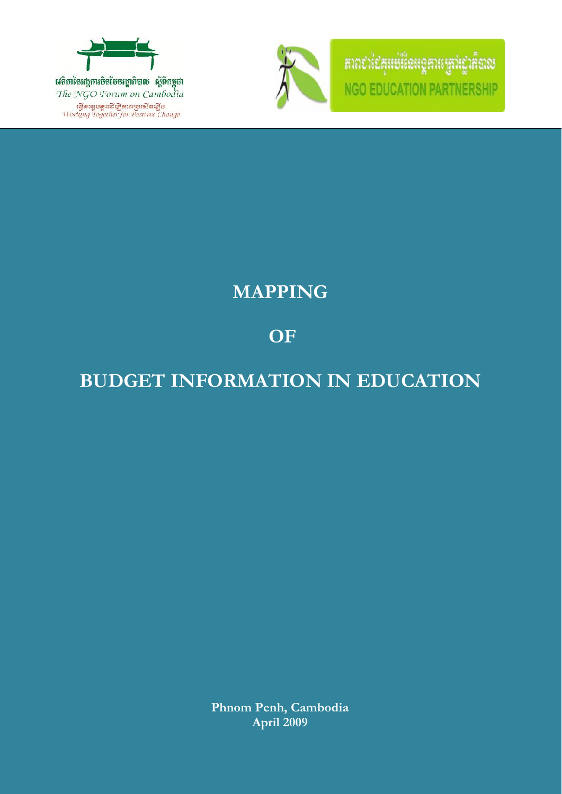

វេទិកានៃអង្គការចិនថែនរដ្ឋាភិបាល ស្តីបីកម្ពុជា The NGO Forum on Cambodia าริสตามูนดูระนีย์ ตารายนิยมรีสต์<br>Working Together for Positive Change



គាព៩ាដៃគូអប់រំនៃអន្តគារបុគ្គ **NGO EDUCATION PARTNE** RSHIP

# **MAPPING**

# **OF**

# **BUDGET INFORMATION IN EDUCATION**

**Phnom Penh, Cambodia April 2009**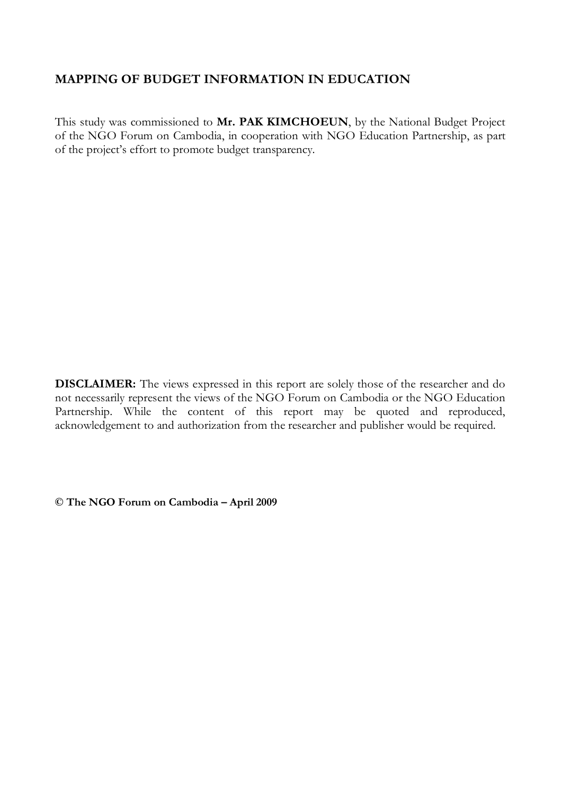## **MAPPING OF BUDGET INFORMATION IN EDUCATION**

This study was commissioned to **Mr. PAK KIMCHOEUN**, by the National Budget Project of the NGO Forum on Cambodia, in cooperation with NGO Education Partnership, as part of the project's effort to promote budget transparency.

**DISCLAIMER:** The views expressed in this report are solely those of the researcher and do not necessarily represent the views of the NGO Forum on Cambodia or the NGO Education Partnership. While the content of this report may be quoted and reproduced, acknowledgement to and authorization from the researcher and publisher would be required.

**© The NGO Forum on Cambodia – April 2009**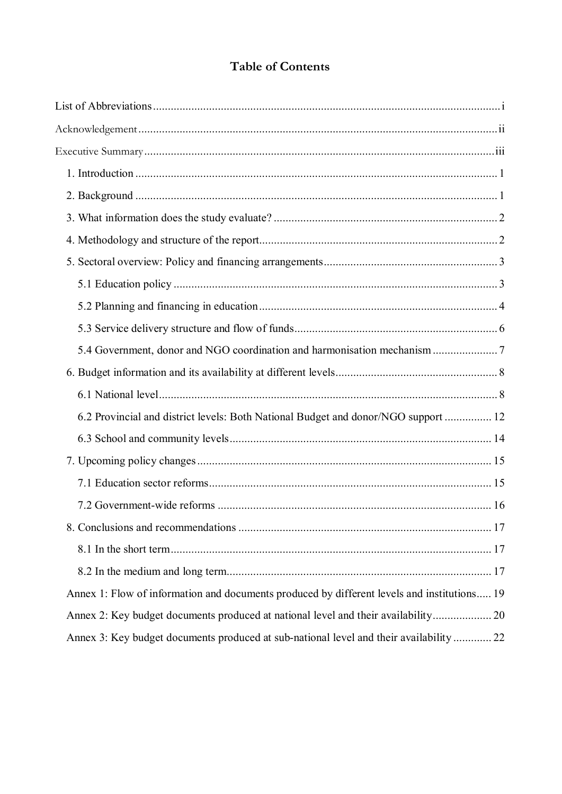# **Table of Contents**

| 6.2 Provincial and district levels: Both National Budget and donor/NGO support  12          |  |
|---------------------------------------------------------------------------------------------|--|
|                                                                                             |  |
|                                                                                             |  |
|                                                                                             |  |
|                                                                                             |  |
|                                                                                             |  |
|                                                                                             |  |
|                                                                                             |  |
| Annex 1: Flow of information and documents produced by different levels and institutions 19 |  |
| Annex 2: Key budget documents produced at national level and their availability 20          |  |
| Annex 3: Key budget documents produced at sub-national level and their availability  22     |  |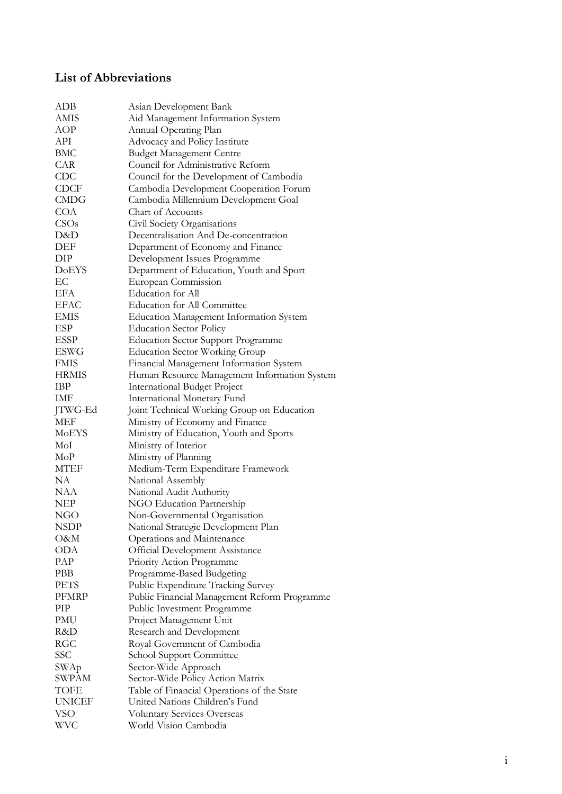# <span id="page-3-0"></span>**List of Abbreviations**

| <b>ADB</b>    | Asian Development Bank                         |
|---------------|------------------------------------------------|
| AMIS          | Aid Management Information System              |
| AOP           | Annual Operating Plan                          |
| API           | Advocacy and Policy Institute                  |
| BMC           | <b>Budget Management Centre</b>                |
| CAR           | Council for Administrative Reform              |
| <b>CDC</b>    | Council for the Development of Cambodia        |
| <b>CDCF</b>   | Cambodia Development Cooperation Forum         |
| <b>CMDG</b>   | Cambodia Millennium Development Goal           |
| COA           | Chart of Accounts                              |
| CSOs          | Civil Society Organisations                    |
| D&D           | Decentralisation And De-concentration          |
| DEF           | Department of Economy and Finance              |
| DIP           | Development Issues Programme                   |
| <b>DoEYS</b>  | Department of Education, Youth and Sport       |
| EC            | European Commission                            |
| EFA           | Education for All                              |
| <b>EFAC</b>   | Education for All Committee                    |
| <b>EMIS</b>   |                                                |
| <b>ESP</b>    | <b>Education Management Information System</b> |
|               | <b>Education Sector Policy</b>                 |
| <b>ESSP</b>   | <b>Education Sector Support Programme</b>      |
| ESWG          | <b>Education Sector Working Group</b>          |
| <b>FMIS</b>   | Financial Management Information System        |
| HRMIS         | Human Resource Management Information System   |
| IBP           | International Budget Project                   |
| IMF           | International Monetary Fund                    |
| JTWG-Ed       | Joint Technical Working Group on Education     |
| <b>MEF</b>    | Ministry of Economy and Finance                |
| MoEYS         | Ministry of Education, Youth and Sports        |
| MoI           | Ministry of Interior                           |
| MoP           | Ministry of Planning                           |
| <b>MTEF</b>   | Medium-Term Expenditure Framework              |
| NA            | National Assembly                              |
| NAA           | National Audit Authority                       |
| <b>NEP</b>    | NGO Education Partnership                      |
| NGO           | Non-Governmental Organisation                  |
| <b>NSDP</b>   | National Strategic Development Plan            |
| O&M           | Operations and Maintenance                     |
| <b>ODA</b>    | <b>Official Development Assistance</b>         |
| PAP           | Priority Action Programme                      |
| PBB           | Programme-Based Budgeting                      |
| <b>PETS</b>   | Public Expenditure Tracking Survey             |
| <b>PFMRP</b>  | Public Financial Management Reform Programme   |
| PIP           | Public Investment Programme                    |
| PMU           | Project Management Unit                        |
| R&D           | Research and Development                       |
| RGC           | Royal Government of Cambodia                   |
| SSC           | School Support Committee                       |
| SWAp          | Sector-Wide Approach                           |
| <b>SWPAM</b>  | Sector-Wide Policy Action Matrix               |
| TOFE          | Table of Financial Operations of the State     |
| <b>UNICEF</b> | United Nations Children's Fund                 |
| <b>VSO</b>    | <b>Voluntary Services Overseas</b>             |
| <b>WVC</b>    | World Vision Cambodia                          |
|               |                                                |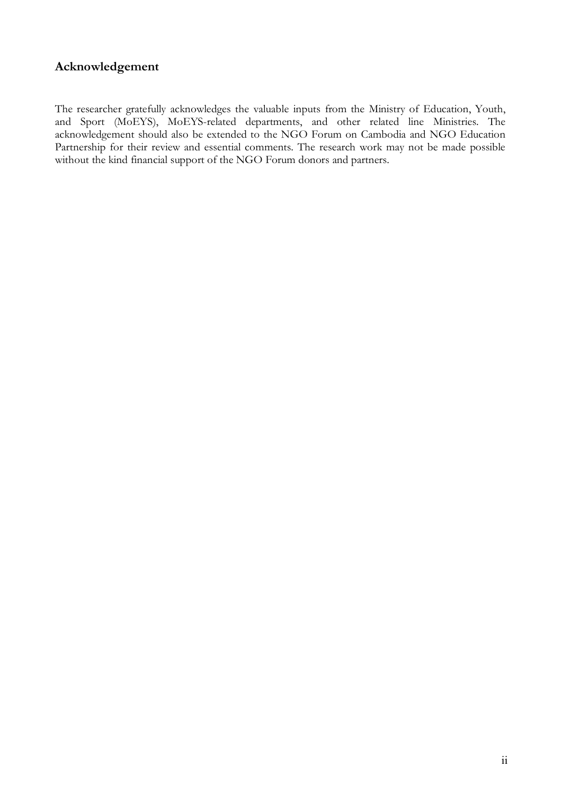## <span id="page-4-0"></span>**Acknowledgement**

The researcher gratefully acknowledges the valuable inputs from the Ministry of Education, Youth, and Sport (MoEYS), MoEYS-related departments, and other related line Ministries. The acknowledgement should also be extended to the NGO Forum on Cambodia and NGO Education Partnership for their review and essential comments. The research work may not be made possible without the kind financial support of the NGO Forum donors and partners.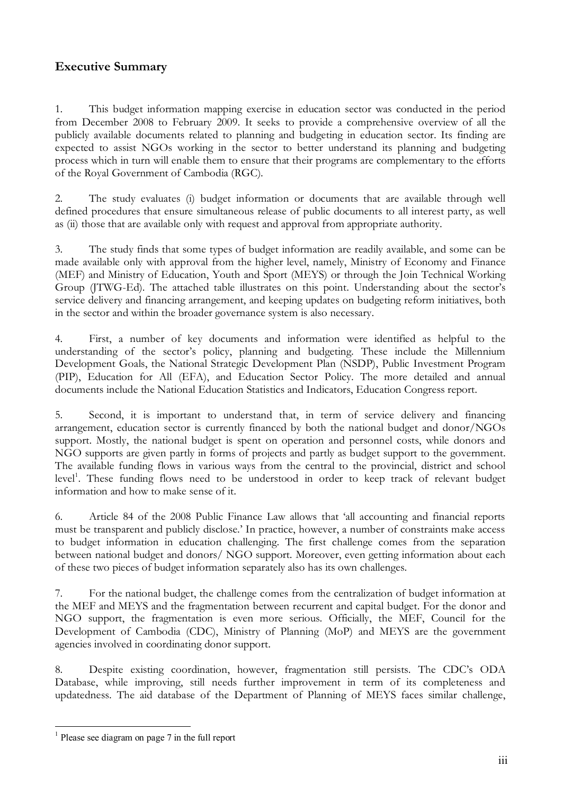## <span id="page-5-0"></span>**Executive Summary**

1. This budget information mapping exercise in education sector was conducted in the period from December 2008 to February 2009. It seeks to provide a comprehensive overview of all the publicly available documents related to planning and budgeting in education sector. Its finding are expected to assist NGOs working in the sector to better understand its planning and budgeting process which in turn will enable them to ensure that their programs are complementary to the efforts of the Royal Government of Cambodia (RGC).

2. The study evaluates (i) budget information or documents that are available through well defined procedures that ensure simultaneous release of public documents to all interest party, as well as (ii) those that are available only with request and approval from appropriate authority.

3. The study finds that some types of budget information are readily available, and some can be made available only with approval from the higher level, namely, Ministry of Economy and Finance (MEF) and Ministry of Education, Youth and Sport (MEYS) or through the Join Technical Working Group (JTWG-Ed). The attached table illustrates on this point. Understanding about the sector's service delivery and financing arrangement, and keeping updates on budgeting reform initiatives, both in the sector and within the broader governance system is also necessary.

4. First, a number of key documents and information were identified as helpful to the understanding of the sector's policy, planning and budgeting. These include the Millennium Development Goals, the National Strategic Development Plan (NSDP), Public Investment Program (PIP), Education for All (EFA), and Education Sector Policy. The more detailed and annual documents include the National Education Statistics and Indicators, Education Congress report.

5. Second, it is important to understand that, in term of service delivery and financing arrangement, education sector is currently financed by both the national budget and donor/NGOs support. Mostly, the national budget is spent on operation and personnel costs, while donors and NGO supports are given partly in forms of projects and partly as budget support to the government. The available funding flows in various ways from the central to the provincial, district and school level<sup>1</sup>[.](#page-5-1) These funding flows need to be understood in order to keep track of relevant budget information and how to make sense of it.

6. Article 84 of the 2008 Public Finance Law allows that 'all accounting and financial reports must be transparent and publicly disclose.' In practice, however, a number of constraints make access to budget information in education challenging. The first challenge comes from the separation between national budget and donors/ NGO support. Moreover, even getting information about each of these two pieces of budget information separately also has its own challenges.

7. For the national budget, the challenge comes from the centralization of budget information at the MEF and MEYS and the fragmentation between recurrent and capital budget. For the donor and NGO support, the fragmentation is even more serious. Officially, the MEF, Council for the Development of Cambodia (CDC), Ministry of Planning (MoP) and MEYS are the government agencies involved in coordinating donor support.

8. Despite existing coordination, however, fragmentation still persists. The CDC's ODA Database, while improving, still needs further improvement in term of its completeness and updatedness. The aid database of the Department of Planning of MEYS faces similar challenge,

<span id="page-5-1"></span><sup>&</sup>lt;sup>1</sup> Please see diagram on page 7 in the full report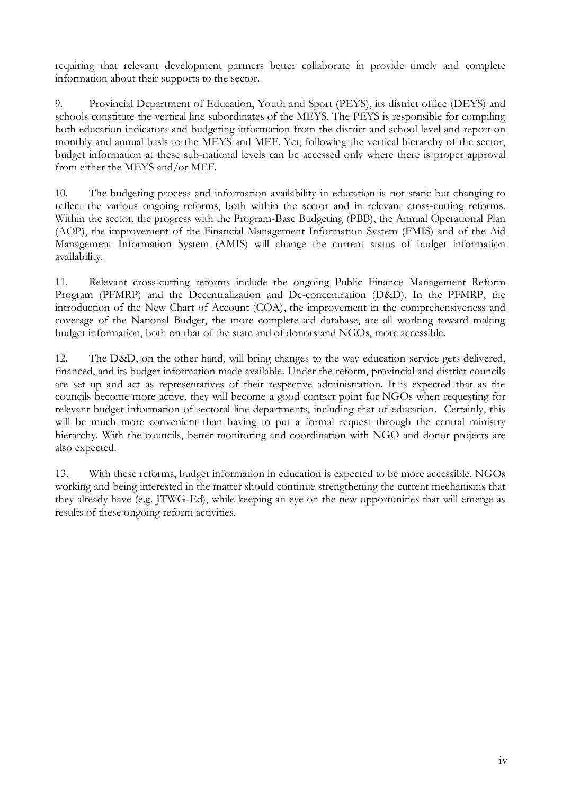requiring that relevant development partners better collaborate in provide timely and complete information about their supports to the sector.

9. Provincial Department of Education, Youth and Sport (PEYS), its district office (DEYS) and schools constitute the vertical line subordinates of the MEYS. The PEYS is responsible for compiling both education indicators and budgeting information from the district and school level and report on monthly and annual basis to the MEYS and MEF. Yet, following the vertical hierarchy of the sector, budget information at these sub-national levels can be accessed only where there is proper approval from either the MEYS and/or MEF.

10. The budgeting process and information availability in education is not static but changing to reflect the various ongoing reforms, both within the sector and in relevant cross-cutting reforms. Within the sector, the progress with the Program-Base Budgeting (PBB), the Annual Operational Plan (AOP), the improvement of the Financial Management Information System (FMIS) and of the Aid Management Information System (AMIS) will change the current status of budget information availability.

11. Relevant cross-cutting reforms include the ongoing Public Finance Management Reform Program (PFMRP) and the Decentralization and De-concentration (D&D). In the PFMRP, the introduction of the New Chart of Account (COA), the improvement in the comprehensiveness and coverage of the National Budget, the more complete aid database, are all working toward making budget information, both on that of the state and of donors and NGOs, more accessible.

12. The D&D, on the other hand, will bring changes to the way education service gets delivered, financed, and its budget information made available. Under the reform, provincial and district councils are set up and act as representatives of their respective administration. It is expected that as the councils become more active, they will become a good contact point for NGOs when requesting for relevant budget information of sectoral line departments, including that of education. Certainly, this will be much more convenient than having to put a formal request through the central ministry hierarchy. With the councils, better monitoring and coordination with NGO and donor projects are also expected.

13. With these reforms, budget information in education is expected to be more accessible. NGOs working and being interested in the matter should continue strengthening the current mechanisms that they already have (e.g. JTWG-Ed), while keeping an eye on the new opportunities that will emerge as results of these ongoing reform activities.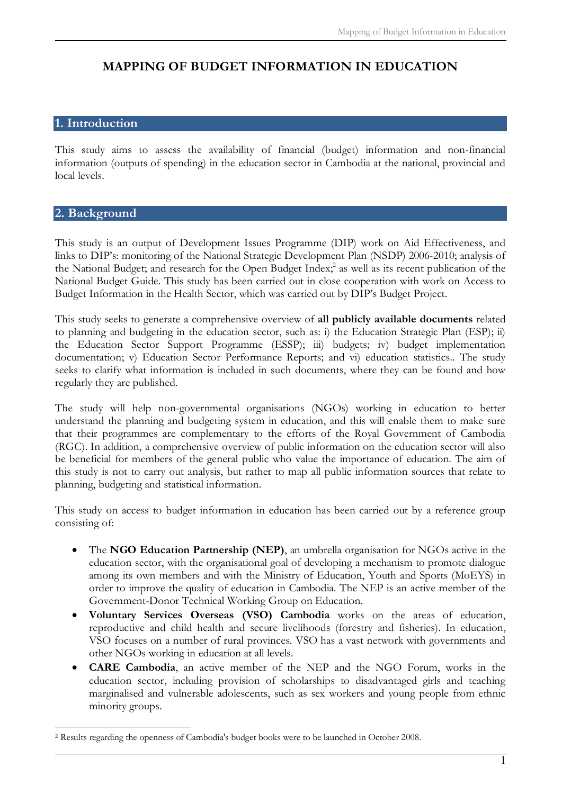# **MAPPING OF BUDGET INFORMATION IN EDUCATION**

## <span id="page-7-0"></span>**1. Introduction**

This study aims to assess the availability of financial (budget) information and non-financial information (outputs of spending) in the education sector in Cambodia at the national, provincial and local levels.

#### <span id="page-7-1"></span>**2. Background**

This study is an output of Development Issues Programme (DIP) work on Aid Effectiveness, and links to DIP's: monitoring of the National Strategic Development Plan (NSDP) 2006-2010; analysis of the National Budget; [a](#page-7-2)nd research for the Open Budget Index;<sup>2</sup> as well as its recent publication of the National Budget Guide. This study has been carried out in close cooperation with work on Access to Budget Information in the Health Sector, which was carried out by DIP's Budget Project.

This study seeks to generate a comprehensive overview of **all publicly available documents** related to planning and budgeting in the education sector, such as: i) the Education Strategic Plan (ESP); ii) the Education Sector Support Programme (ESSP); iii) budgets; iv) budget implementation documentation; v) Education Sector Performance Reports; and vi) education statistics.. The study seeks to clarify what information is included in such documents, where they can be found and how regularly they are published.

The study will help non-governmental organisations (NGOs) working in education to better understand the planning and budgeting system in education, and this will enable them to make sure that their programmes are complementary to the efforts of the Royal Government of Cambodia (RGC). In addition, a comprehensive overview of public information on the education sector will also be beneficial for members of the general public who value the importance of education. The aim of this study is not to carry out analysis, but rather to map all public information sources that relate to planning, budgeting and statistical information.

This study on access to budget information in education has been carried out by a reference group consisting of:

- · The **NGO Education Partnership (NEP)**, an umbrella organisation for NGOs active in the education sector, with the organisational goal of developing a mechanism to promote dialogue among its own members and with the Ministry of Education, Youth and Sports (MoEYS) in order to improve the quality of education in Cambodia. The NEP is an active member of the Government-Donor Technical Working Group on Education.
- · **Voluntary Services Overseas (VSO) Cambodia** works on the areas of education, reproductive and child health and secure livelihoods (forestry and fisheries). In education, VSO focuses on a number of rural provinces. VSO has a vast network with governments and other NGOs working in education at all levels.
- · **CARE Cambodia**, an active member of the NEP and the NGO Forum, works in the education sector, including provision of scholarships to disadvantaged girls and teaching marginalised and vulnerable adolescents, such as sex workers and young people from ethnic minority groups.

<span id="page-7-2"></span><sup>2</sup> Results regarding the openness of Cambodia's budget books were to be launched in October 2008.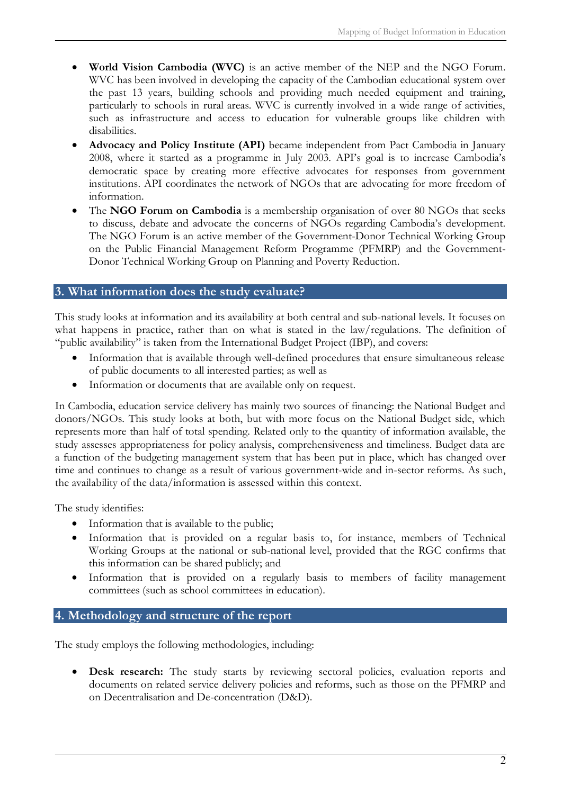- · **World Vision Cambodia (WVC)** is an active member of the NEP and the NGO Forum. WVC has been involved in developing the capacity of the Cambodian educational system over the past 13 years, building schools and providing much needed equipment and training, particularly to schools in rural areas. WVC is currently involved in a wide range of activities, such as infrastructure and access to education for vulnerable groups like children with disabilities.
- Advocacy and Policy Institute (API) became independent from Pact Cambodia in January 2008, where it started as a programme in July 2003. API's goal is to increase Cambodia's democratic space by creating more effective advocates for responses from government institutions. API coordinates the network of NGOs that are advocating for more freedom of information.
- The NGO Forum on Cambodia is a membership organisation of over 80 NGOs that seeks to discuss, debate and advocate the concerns of NGOs regarding Cambodia's development. The NGO Forum is an active member of the Government-Donor Technical Working Group on the Public Financial Management Reform Programme (PFMRP) and the Government-Donor Technical Working Group on Planning and Poverty Reduction.

## <span id="page-8-0"></span>**3. What information does the study evaluate?**

This study looks at information and its availability at both central and sub-national levels. It focuses on what happens in practice, rather than on what is stated in the law/regulations. The definition of "public availability" is taken from the International Budget Project (IBP), and covers:

- Information that is available through well-defined procedures that ensure simultaneous release of public documents to all interested parties; as well as
- Information or documents that are available only on request.

In Cambodia, education service delivery has mainly two sources of financing: the National Budget and donors/NGOs. This study looks at both, but with more focus on the National Budget side, which represents more than half of total spending. Related only to the quantity of information available, the study assesses appropriateness for policy analysis, comprehensiveness and timeliness. Budget data are a function of the budgeting management system that has been put in place, which has changed over time and continues to change as a result of various government-wide and in-sector reforms. As such, the availability of the data/information is assessed within this context.

The study identifies:

- Information that is available to the public;
- Information that is provided on a regular basis to, for instance, members of Technical Working Groups at the national or sub-national level, provided that the RGC confirms that this information can be shared publicly; and
- · Information that is provided on a regularly basis to members of facility management committees (such as school committees in education).

#### <span id="page-8-1"></span>**4. Methodology and structure of the report**

The study employs the following methodologies, including:

· **Desk research:** The study starts by reviewing sectoral policies, evaluation reports and documents on related service delivery policies and reforms, such as those on the PFMRP and on Decentralisation and De-concentration (D&D).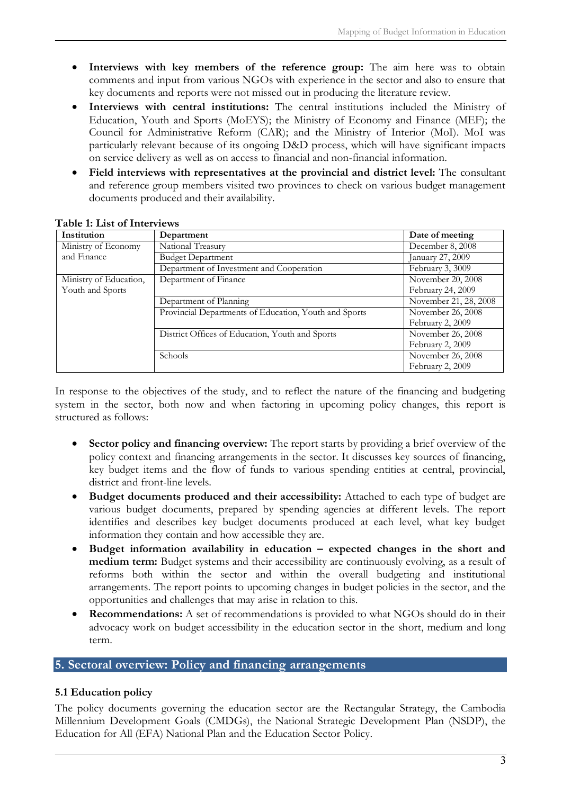- · **Interviews with key members of the reference group:** The aim here was to obtain comments and input from various NGOs with experience in the sector and also to ensure that key documents and reports were not missed out in producing the literature review.
- · **Interviews with central institutions:** The central institutions included the Ministry of Education, Youth and Sports (MoEYS); the Ministry of Economy and Finance (MEF); the Council for Administrative Reform (CAR); and the Ministry of Interior (MoI). MoI was particularly relevant because of its ongoing D&D process, which will have significant impacts on service delivery as well as on access to financial and non-financial information.
- · **Field interviews with representatives at the provincial and district level:** The consultant and reference group members visited two provinces to check on various budget management documents produced and their availability.

| Institution            | Department                                            | Date of meeting       |
|------------------------|-------------------------------------------------------|-----------------------|
| Ministry of Economy    | National Treasury                                     | December 8, 2008      |
| and Finance            | <b>Budget Department</b>                              | January 27, 2009      |
|                        | Department of Investment and Cooperation              | February 3, 3009      |
| Ministry of Education, | Department of Finance                                 | November 20, 2008     |
| Youth and Sports       |                                                       | February 24, 2009     |
|                        | Department of Planning                                | November 21, 28, 2008 |
|                        | Provincial Departments of Education, Youth and Sports | November 26, 2008     |
|                        |                                                       | February 2, 2009      |
|                        | District Offices of Education, Youth and Sports       | November 26, 2008     |
|                        |                                                       | February 2, 2009      |
|                        | Schools                                               | November 26, 2008     |
|                        |                                                       | February 2, 2009      |

#### **Table 1: List of Interviews**

In response to the objectives of the study, and to reflect the nature of the financing and budgeting system in the sector, both now and when factoring in upcoming policy changes, this report is structured as follows:

- **Sector policy and financing overview:** The report starts by providing a brief overview of the policy context and financing arrangements in the sector. It discusses key sources of financing, key budget items and the flow of funds to various spending entities at central, provincial, district and front-line levels.
- · **Budget documents produced and their accessibility:** Attached to each type of budget are various budget documents, prepared by spending agencies at different levels. The report identifies and describes key budget documents produced at each level, what key budget information they contain and how accessible they are.
- Budget information availability in education expected changes in the short and **medium term:** Budget systems and their accessibility are continuously evolving, as a result of reforms both within the sector and within the overall budgeting and institutional arrangements. The report points to upcoming changes in budget policies in the sector, and the opportunities and challenges that may arise in relation to this.
- **Recommendations:** A set of recommendations is provided to what NGOs should do in their advocacy work on budget accessibility in the education sector in the short, medium and long term.

## <span id="page-9-0"></span>**5. Sectoral overview: Policy and financing arrangements**

#### <span id="page-9-1"></span>**5.1 Education policy**

The policy documents governing the education sector are the Rectangular Strategy, the Cambodia Millennium Development Goals (CMDGs), the National Strategic Development Plan (NSDP), the Education for All (EFA) National Plan and the Education Sector Policy.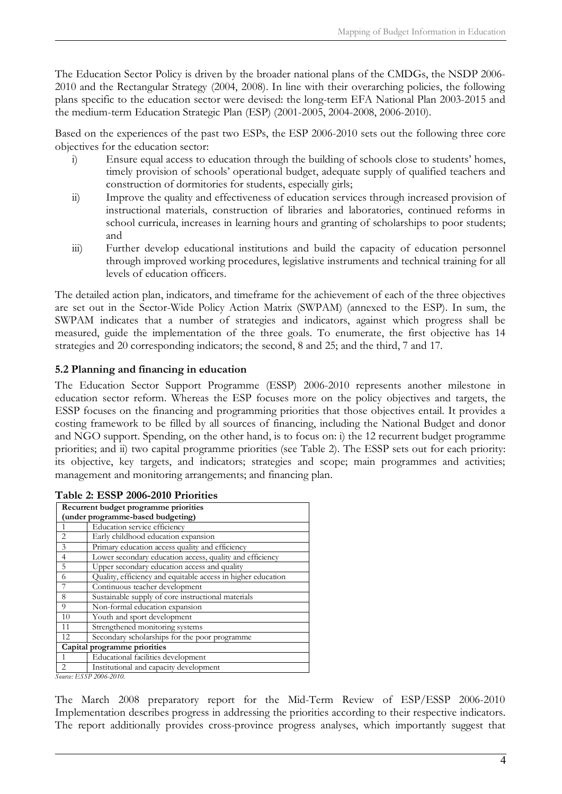The Education Sector Policy is driven by the broader national plans of the CMDGs, the NSDP 2006- 2010 and the Rectangular Strategy (2004, 2008). In line with their overarching policies, the following plans specific to the education sector were devised: the long-term EFA National Plan 2003-2015 and the medium-term Education Strategic Plan (ESP) (2001-2005, 2004-2008, 2006-2010).

Based on the experiences of the past two ESPs, the ESP 2006-2010 sets out the following three core objectives for the education sector:

- i) Ensure equal access to education through the building of schools close to students' homes, timely provision of schools' operational budget, adequate supply of qualified teachers and construction of dormitories for students, especially girls;
- ii) Improve the quality and effectiveness of education services through increased provision of instructional materials, construction of libraries and laboratories, continued reforms in school curricula, increases in learning hours and granting of scholarships to poor students; and
- iii) Further develop educational institutions and build the capacity of education personnel through improved working procedures, legislative instruments and technical training for all levels of education officers.

The detailed action plan, indicators, and timeframe for the achievement of each of the three objectives are set out in the Sector-Wide Policy Action Matrix (SWPAM) (annexed to the ESP). In sum, the SWPAM indicates that a number of strategies and indicators, against which progress shall be measured, guide the implementation of the three goals. To enumerate, the first objective has 14 strategies and 20 corresponding indicators; the second, 8 and 25; and the third, 7 and 17.

#### <span id="page-10-0"></span>**5.2 Planning and financing in education**

The Education Sector Support Programme (ESSP) 2006-2010 represents another milestone in education sector reform. Whereas the ESP focuses more on the policy objectives and targets, the ESSP focuses on the financing and programming priorities that those objectives entail. It provides a costing framework to be filled by all sources of financing, including the National Budget and donor and NGO support. Spending, on the other hand, is to focus on: i) the 12 recurrent budget programme priorities; and ii) two capital programme priorities (see Table 2). The ESSP sets out for each priority: its objective, key targets, and indicators; strategies and scope; main programmes and activities; management and monitoring arrangements; and financing plan.

| Recurrent budget programme priorities                                                                                                                                |                                                              |  |  |
|----------------------------------------------------------------------------------------------------------------------------------------------------------------------|--------------------------------------------------------------|--|--|
| (under programme-based budgeting)                                                                                                                                    |                                                              |  |  |
|                                                                                                                                                                      | Education service efficiency                                 |  |  |
| 2                                                                                                                                                                    | Early childhood education expansion                          |  |  |
| 3                                                                                                                                                                    | Primary education access quality and efficiency              |  |  |
| $\overline{4}$                                                                                                                                                       | Lower secondary education access, quality and efficiency     |  |  |
| 5                                                                                                                                                                    | Upper secondary education access and quality                 |  |  |
| 6                                                                                                                                                                    | Quality, efficiency and equitable access in higher education |  |  |
|                                                                                                                                                                      | Continuous teacher development                               |  |  |
| 8                                                                                                                                                                    | Sustainable supply of core instructional materials           |  |  |
| 9                                                                                                                                                                    | Non-formal education expansion                               |  |  |
| 10                                                                                                                                                                   | Youth and sport development                                  |  |  |
| 11                                                                                                                                                                   | Strengthened monitoring systems                              |  |  |
| 12                                                                                                                                                                   | Secondary scholarships for the poor programme                |  |  |
| Capital programme priorities                                                                                                                                         |                                                              |  |  |
|                                                                                                                                                                      | Educational facilities development                           |  |  |
| $\mathcal{D}_{\mathcal{L}}^{\mathcal{L}}(\mathcal{L}) = \mathcal{D}_{\mathcal{L}}^{\mathcal{L}}(\mathcal{L}) = \mathcal{D}_{\mathcal{L}}^{\mathcal{L}}(\mathcal{L})$ | Institutional and capacity development                       |  |  |

#### **Table 2: ESSP 2006-2010 Priorities**

*Source: ESSP 2006-2010.*

The March 2008 preparatory report for the Mid-Term Review of ESP/ESSP 2006-2010 Implementation describes progress in addressing the priorities according to their respective indicators. The report additionally provides cross-province progress analyses, which importantly suggest that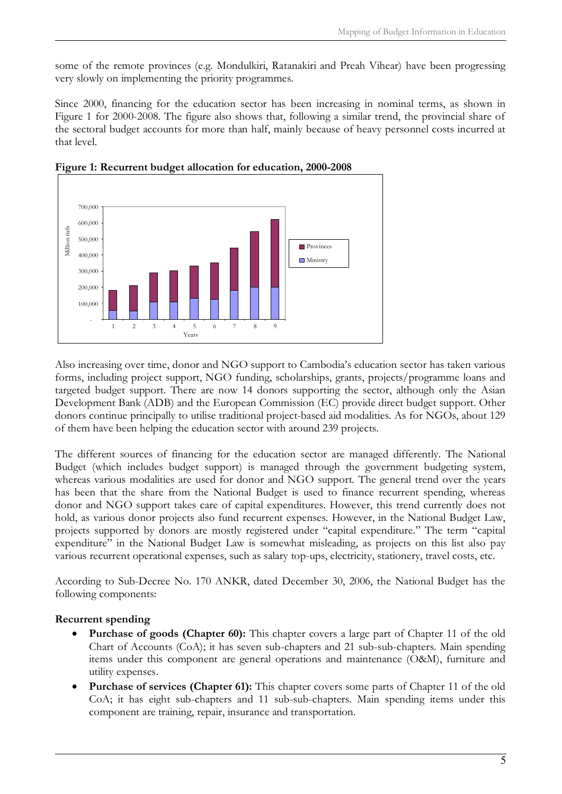some of the remote provinces (e.g. Mondulkiri, Ratanakiri and Preah Vihear) have been progressing very slowly on implementing the priority programmes.

Since 2000, financing for the education sector has been increasing in nominal terms, as shown in Figure 1 for 2000-2008. The figure also shows that, following a similar trend, the provincial share of the sectoral budget accounts for more than half, mainly because of heavy personnel costs incurred at that level.





Also increasing over time, donor and NGO support to Cambodia's education sector has taken various forms, including project support, NGO funding, scholarships, grants, projects/programme loans and targeted budget support. There are now 14 donors supporting the sector, although only the Asian Development Bank (ADB) and the European Commission (EC) provide direct budget support. Other donors continue principally to utilise traditional project-based aid modalities. As for NGOs, about 129 of them have been helping the education sector with around 239 projects.

The different sources of financing for the education sector are managed differently. The National Budget (which includes budget support) is managed through the government budgeting system, whereas various modalities are used for donor and NGO support. The general trend over the years has been that the share from the National Budget is used to finance recurrent spending, whereas donor and NGO support takes care of capital expenditures. However, this trend currently does not hold, as various donor projects also fund recurrent expenses. However, in the National Budget Law, projects supported by donors are mostly registered under "capital expenditure." The term "capital expenditure" in the National Budget Law is somewhat misleading, as projects on this list also pay various recurrent operational expenses, such as salary top-ups, electricity, stationery, travel costs, etc.

According to Sub-Decree No. 170 ANKR, dated December 30, 2006, the National Budget has the following components:

#### **Recurrent spending**

- Purchase of goods (Chapter 60): This chapter covers a large part of Chapter 11 of the old Chart of Accounts (CoA); it has seven sub-chapters and 21 sub-sub-chapters. Main spending items under this component are general operations and maintenance (O&M), furniture and utility expenses.
- · **Purchase of services (Chapter 61):** This chapter covers some parts of Chapter 11 of the old CoA; it has eight sub-chapters and 11 sub-sub-chapters. Main spending items under this component are training, repair, insurance and transportation.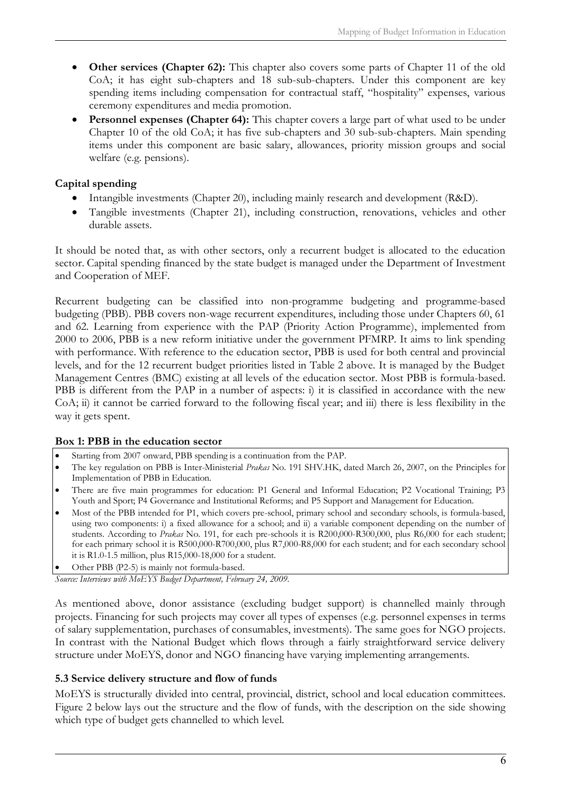- · **Other services (Chapter 62):** This chapter also covers some parts of Chapter 11 of the old CoA; it has eight sub-chapters and 18 sub-sub-chapters. Under this component are key spending items including compensation for contractual staff, "hospitality" expenses, various ceremony expenditures and media promotion.
- **Personnel expenses (Chapter 64):** This chapter covers a large part of what used to be under Chapter 10 of the old CoA; it has five sub-chapters and 30 sub-sub-chapters. Main spending items under this component are basic salary, allowances, priority mission groups and social welfare (e.g. pensions).

#### **Capital spending**

- Intangible investments (Chapter 20), including mainly research and development (R&D).
- · Tangible investments (Chapter 21), including construction, renovations, vehicles and other durable assets.

It should be noted that, as with other sectors, only a recurrent budget is allocated to the education sector. Capital spending financed by the state budget is managed under the Department of Investment and Cooperation of MEF.

Recurrent budgeting can be classified into non-programme budgeting and programme-based budgeting (PBB). PBB covers non-wage recurrent expenditures, including those under Chapters 60, 61 and 62. Learning from experience with the PAP (Priority Action Programme), implemented from 2000 to 2006, PBB is a new reform initiative under the government PFMRP. It aims to link spending with performance. With reference to the education sector, PBB is used for both central and provincial levels, and for the 12 recurrent budget priorities listed in Table 2 above. It is managed by the Budget Management Centres (BMC) existing at all levels of the education sector. Most PBB is formula-based. PBB is different from the PAP in a number of aspects: i) it is classified in accordance with the new CoA; ii) it cannot be carried forward to the following fiscal year; and iii) there is less flexibility in the way it gets spent.

#### **Box 1: PBB in the education sector**

- Starting from 2007 onward, PBB spending is a continuation from the PAP.
- · The key regulation on PBB is Inter-Ministerial *Prakas* No. 191 SHV.HK, dated March 26, 2007, on the Principles for Implementation of PBB in Education.
- · There are five main programmes for education: P1 General and Informal Education; P2 Vocational Training; P3 Youth and Sport; P4 Governance and Institutional Reforms; and P5 Support and Management for Education.
- · Most of the PBB intended for P1, which covers pre-school, primary school and secondary schools, is formula-based, using two components: i) a fixed allowance for a school; and ii) a variable component depending on the number of students. According to *Prakas* No. 191, for each pre-schools it is R200,000-R300,000, plus R6,000 for each student; for each primary school it is R500,000-R700,000, plus R7,000-R8,000 for each student; and for each secondary school it is R1.0-1.5 million, plus R15,000-18,000 for a student.
- Other PBB (P2-5) is mainly not formula-based.

*Source: Interviews with MoEYS Budget Department, February 24, 2009.*

As mentioned above, donor assistance (excluding budget support) is channelled mainly through projects. Financing for such projects may cover all types of expenses (e.g. personnel expenses in terms of salary supplementation, purchases of consumables, investments). The same goes for NGO projects. In contrast with the National Budget which flows through a fairly straightforward service delivery structure under MoEYS, donor and NGO financing have varying implementing arrangements.

#### <span id="page-12-0"></span>**5.3 Service delivery structure and flow of funds**

MoEYS is structurally divided into central, provincial, district, school and local education committees. Figure 2 below lays out the structure and the flow of funds, with the description on the side showing which type of budget gets channelled to which level.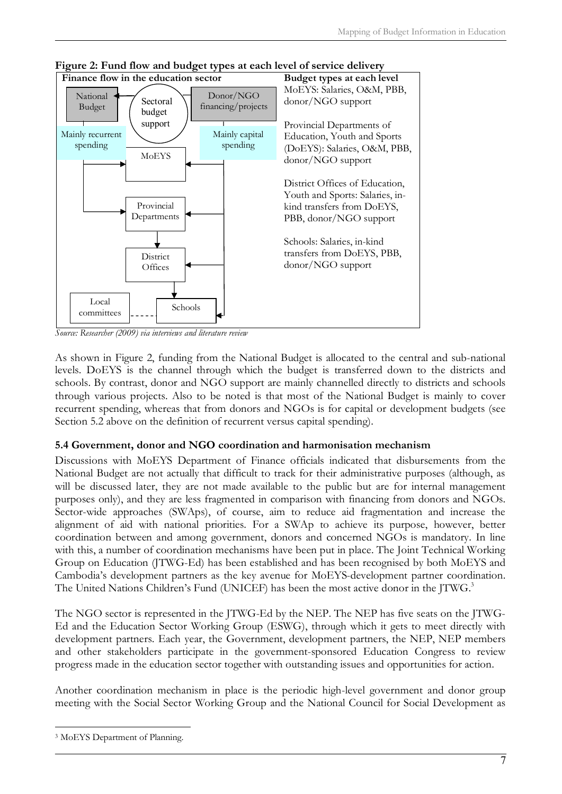

**Figure 2: Fund flow and budget types at each level of service delivery**

*Source: Researcher (2009) via interviews and literature review*

As shown in Figure 2, funding from the National Budget is allocated to the central and sub-national levels. DoEYS is the channel through which the budget is transferred down to the districts and schools. By contrast, donor and NGO support are mainly channelled directly to districts and schools through various projects. Also to be noted is that most of the National Budget is mainly to cover recurrent spending, whereas that from donors and NGOs is for capital or development budgets (see Section 5.2 above on the definition of recurrent versus capital spending).

#### <span id="page-13-0"></span>**5.4 Government, donor and NGO coordination and harmonisation mechanism**

Discussions with MoEYS Department of Finance officials indicated that disbursements from the National Budget are not actually that difficult to track for their administrative purposes (although, as will be discussed later, they are not made available to the public but are for internal management purposes only), and they are less fragmented in comparison with financing from donors and NGOs. Sector-wide approaches (SWAps), of course, aim to reduce aid fragmentation and increase the alignment of aid with national priorities. For a SWAp to achieve its purpose, however, better coordination between and among government, donors and concerned NGOs is mandatory. In line with this, a number of coordination mechanisms have been put in place. The Joint Technical Working Group on Education (JTWG-Ed) has been established and has been recognised by both MoEYS and Cambodia's development partners as the key avenue for MoEYS-development partner coordination. The United Nations Children's Fund (UNICEF) has been the most active donor in the JTWG.<sup>[3](#page-13-1)</sup>

The NGO sector is represented in the JTWG-Ed by the NEP. The NEP has five seats on the JTWG-Ed and the Education Sector Working Group (ESWG), through which it gets to meet directly with development partners. Each year, the Government, development partners, the NEP, NEP members and other stakeholders participate in the government-sponsored Education Congress to review progress made in the education sector together with outstanding issues and opportunities for action.

Another coordination mechanism in place is the periodic high-level government and donor group meeting with the Social Sector Working Group and the National Council for Social Development as

<span id="page-13-1"></span><sup>3</sup> MoEYS Department of Planning.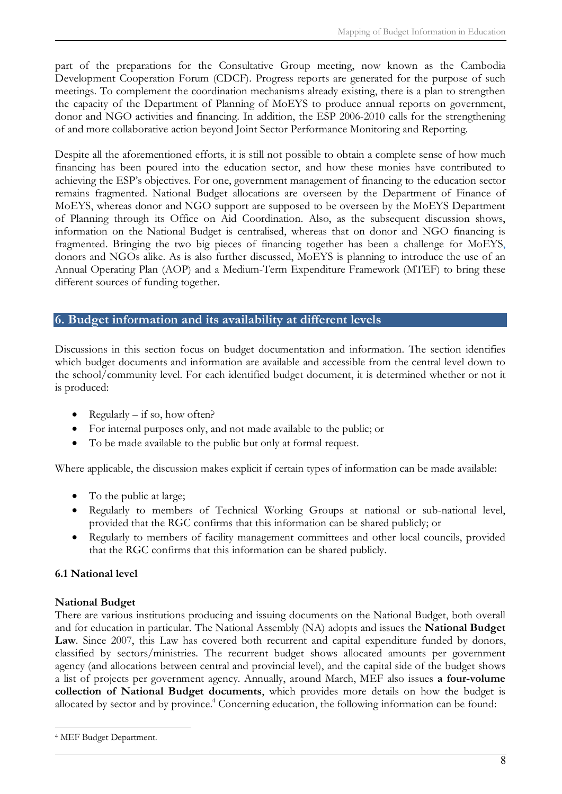part of the preparations for the Consultative Group meeting, now known as the Cambodia Development Cooperation Forum (CDCF). Progress reports are generated for the purpose of such meetings. To complement the coordination mechanisms already existing, there is a plan to strengthen the capacity of the Department of Planning of MoEYS to produce annual reports on government, donor and NGO activities and financing. In addition, the ESP 2006-2010 calls for the strengthening of and more collaborative action beyond Joint Sector Performance Monitoring and Reporting.

Despite all the aforementioned efforts, it is still not possible to obtain a complete sense of how much financing has been poured into the education sector, and how these monies have contributed to achieving the ESP's objectives. For one, government management of financing to the education sector remains fragmented. National Budget allocations are overseen by the Department of Finance of MoEYS, whereas donor and NGO support are supposed to be overseen by the MoEYS Department of Planning through its Office on Aid Coordination. Also, as the subsequent discussion shows, information on the National Budget is centralised, whereas that on donor and NGO financing is fragmented. Bringing the two big pieces of financing together has been a challenge for MoEYS, donors and NGOs alike. As is also further discussed, MoEYS is planning to introduce the use of an Annual Operating Plan (AOP) and a Medium-Term Expenditure Framework (MTEF) to bring these different sources of funding together.

## <span id="page-14-0"></span>**6. Budget information and its availability at different levels**

Discussions in this section focus on budget documentation and information. The section identifies which budget documents and information are available and accessible from the central level down to the school/community level. For each identified budget document, it is determined whether or not it is produced:

- Regularly  $-$  if so, how often?
- · For internal purposes only, and not made available to the public; or
- · To be made available to the public but only at formal request.

Where applicable, the discussion makes explicit if certain types of information can be made available:

- To the public at large;
- · Regularly to members of Technical Working Groups at national or sub-national level, provided that the RGC confirms that this information can be shared publicly; or
- Regularly to members of facility management committees and other local councils, provided that the RGC confirms that this information can be shared publicly.

#### <span id="page-14-1"></span>**6.1 National level**

#### **National Budget**

There are various institutions producing and issuing documents on the National Budget, both overall and for education in particular. The National Assembly (NA) adopts and issues the **National Budget Law**. Since 2007, this Law has covered both recurrent and capital expenditure funded by donors, classified by sectors/ministries. The recurrent budget shows allocated amounts per government agency (and allocations between central and provincial level), and the capital side of the budget shows a list of projects per government agency. Annually, around March, MEF also issues **a four-volume collection of National Budget documents**, which provides more details on how the budget is allocated by sector and by province.<sup>4</sup> [C](#page-14-2)oncerning education, the following information can be found:

<span id="page-14-2"></span><sup>4</sup> MEF Budget Department.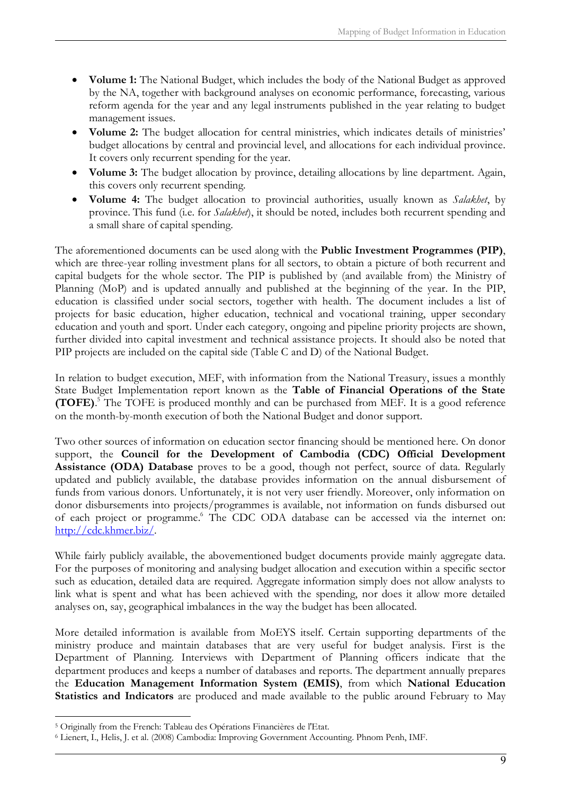- · **Volume 1:** The National Budget, which includes the body of the National Budget as approved by the NA, together with background analyses on economic performance, forecasting, various reform agenda for the year and any legal instruments published in the year relating to budget management issues.
- · **Volume 2:** The budget allocation for central ministries, which indicates details of ministries' budget allocations by central and provincial level, and allocations for each individual province. It covers only recurrent spending for the year.
- · **Volume 3:** The budget allocation by province, detailing allocations by line department. Again, this covers only recurrent spending.
- · **Volume 4:** The budget allocation to provincial authorities, usually known as *Salakhet*, by province. This fund (i.e. for *Salakhet*), it should be noted, includes both recurrent spending and a small share of capital spending.

The aforementioned documents can be used along with the **Public Investment Programmes (PIP)**, which are three-year rolling investment plans for all sectors, to obtain a picture of both recurrent and capital budgets for the whole sector. The PIP is published by (and available from) the Ministry of Planning (MoP) and is updated annually and published at the beginning of the year. In the PIP, education is classified under social sectors, together with health. The document includes a list of projects for basic education, higher education, technical and vocational training, upper secondary education and youth and sport. Under each category, ongoing and pipeline priority projects are shown, further divided into capital investment and technical assistance projects. It should also be noted that PIP projects are included on the capital side (Table C and D) of the National Budget.

In relation to budget execution, MEF, with information from the National Treasury, issues a monthly State Budget Implementation report known as the **Table of Financial Operations of the State (TOFE)**. 5  [T](#page-15-0)he TOFE is produced monthly and can be purchased from MEF. It is a good reference on the month-by-month execution of both the National Budget and donor support.

Two other sources of information on education sector financing should be mentioned here. On donor support, the **Council for the Development of Cambodia (CDC) Official Development Assistance (ODA) Database** proves to be a good, though not perfect, source of data. Regularly updated and publicly available, the database provides information on the annual disbursement of funds from various donors. Unfortunately, it is not very user friendly. Moreover, only information on donor disbursements into projects/programmes is available, not information on funds disbursed out of each project or programme.<sup>6</sup> [T](#page-15-1)he CDC ODA database can be accessed via the internet on: [http://cdc.khmer.biz/.](http://cdc.khmer.biz/)

While fairly publicly available, the abovementioned budget documents provide mainly aggregate data. For the purposes of monitoring and analysing budget allocation and execution within a specific sector such as education, detailed data are required. Aggregate information simply does not allow analysts to link what is spent and what has been achieved with the spending, nor does it allow more detailed analyses on, say, geographical imbalances in the way the budget has been allocated.

More detailed information is available from MoEYS itself. Certain supporting departments of the ministry produce and maintain databases that are very useful for budget analysis. First is the Department of Planning. Interviews with Department of Planning officers indicate that the department produces and keeps a number of databases and reports. The department annually prepares the **Education Management Information System (EMIS)**, from which **National Education Statistics and Indicators** are produced and made available to the public around February to May

<span id="page-15-0"></span><sup>5</sup> Originally from the French: Tableau des Opérations Financières de l'Etat.

<span id="page-15-1"></span><sup>6</sup> Lienert, I., Helis, J. et al. (2008) Cambodia: Improving Government Accounting. Phnom Penh, IMF.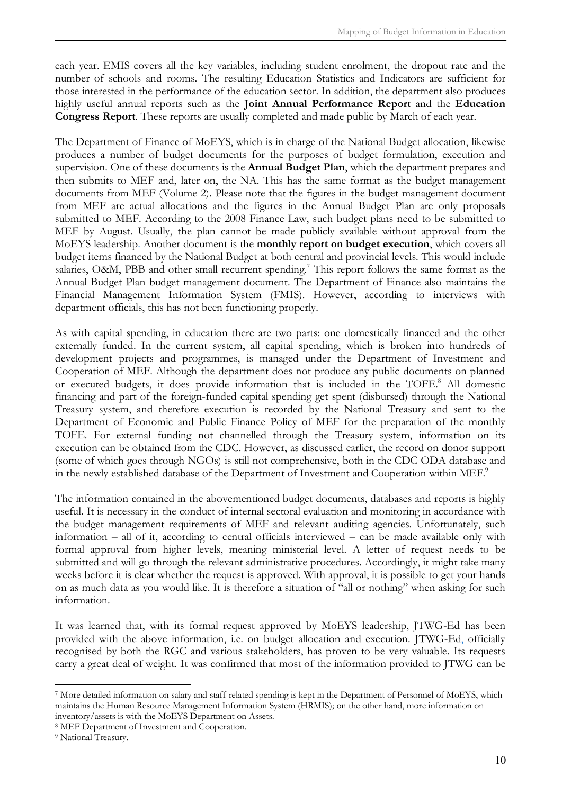each year. EMIS covers all the key variables, including student enrolment, the dropout rate and the number of schools and rooms. The resulting Education Statistics and Indicators are sufficient for those interested in the performance of the education sector. In addition, the department also produces highly useful annual reports such as the **Joint Annual Performance Report** and the **Education Congress Report**. These reports are usually completed and made public by March of each year.

The Department of Finance of MoEYS, which is in charge of the National Budget allocation, likewise produces a number of budget documents for the purposes of budget formulation, execution and supervision. One of these documents is the **Annual Budget Plan**, which the department prepares and then submits to MEF and, later on, the NA. This has the same format as the budget management documents from MEF (Volume 2). Please note that the figures in the budget management document from MEF are actual allocations and the figures in the Annual Budget Plan are only proposals submitted to MEF. According to the 2008 Finance Law, such budget plans need to be submitted to MEF by August. Usually, the plan cannot be made publicly available without approval from the MoEYS leadership. Another document is the **monthly report on budget execution**, which covers all budget items financed by the National Budget at both central and provincial levels. This would include salaries, O&M, PBB and other small recurrent spending.<sup>7</sup> [T](#page-16-0)his report follows the same format as the Annual Budget Plan budget management document. The Department of Finance also maintains the Financial Management Information System (FMIS). However, according to interviews with department officials, this has not been functioning properly.

As with capital spending, in education there are two parts: one domestically financed and the other externally funded. In the current system, all capital spending, which is broken into hundreds of development projects and programmes, is managed under the Department of Investment and Cooperation of MEF. Although the department does not produce any public documents on planned orexecuted budgets, it does provide information that is included in the TOFE.<sup>8</sup> All domestic financing and part of the foreign-funded capital spending get spent (disbursed) through the National Treasury system, and therefore execution is recorded by the National Treasury and sent to the Department of Economic and Public Finance Policy of MEF for the preparation of the monthly TOFE. For external funding not channelled through the Treasury system, information on its execution can be obtained from the CDC. However, as discussed earlier, the record on donor support (some of which goes through NGOs) is still not comprehensive, both in the CDC ODA database and in the newly established database of the Department of Investment and Cooperation within MEF.<sup>[9](#page-16-2)</sup>

The information contained in the abovementioned budget documents, databases and reports is highly useful. It is necessary in the conduct of internal sectoral evaluation and monitoring in accordance with the budget management requirements of MEF and relevant auditing agencies. Unfortunately, such information – all of it, according to central officials interviewed – can be made available only with formal approval from higher levels, meaning ministerial level. A letter of request needs to be submitted and will go through the relevant administrative procedures. Accordingly, it might take many weeks before it is clear whether the request is approved. With approval, it is possible to get your hands on as much data as you would like. It is therefore a situation of "all or nothing" when asking for such information.

It was learned that, with its formal request approved by MoEYS leadership, JTWG-Ed has been provided with the above information, i.e. on budget allocation and execution. JTWG-Ed, officially recognised by both the RGC and various stakeholders, has proven to be very valuable. Its requests carry a great deal of weight. It was confirmed that most of the information provided to JTWG can be

<span id="page-16-0"></span><sup>7</sup> More detailed information on salary and staff-related spending is kept in the Department of Personnel of MoEYS, which maintains the Human Resource Management Information System (HRMIS); on the other hand, more information on inventory/assets is with the MoEYS Department on Assets.

<span id="page-16-1"></span><sup>8</sup> MEF Department of Investment and Cooperation.

<span id="page-16-2"></span><sup>9</sup> National Treasury.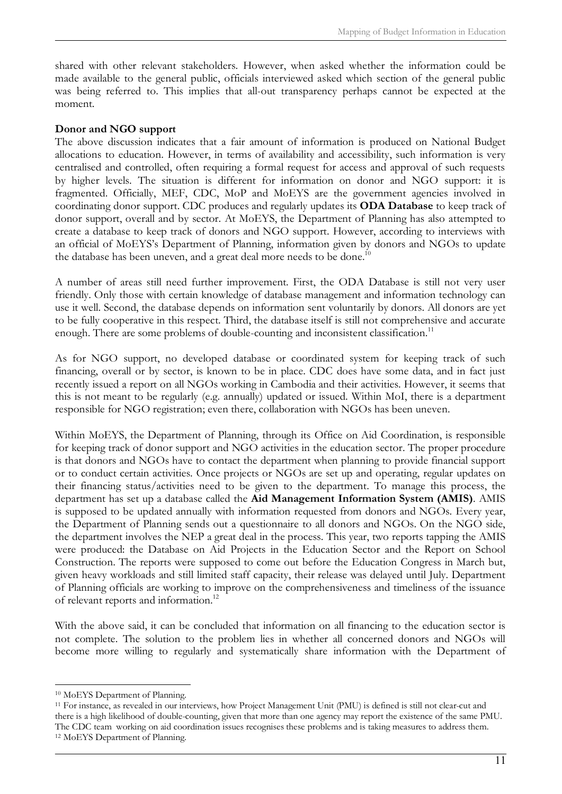shared with other relevant stakeholders. However, when asked whether the information could be made available to the general public, officials interviewed asked which section of the general public was being referred to. This implies that all-out transparency perhaps cannot be expected at the moment.

#### **Donor and NGO support**

The above discussion indicates that a fair amount of information is produced on National Budget allocations to education. However, in terms of availability and accessibility, such information is very centralised and controlled, often requiring a formal request for access and approval of such requests by higher levels. The situation is different for information on donor and NGO support: it is fragmented. Officially, MEF, CDC, MoP and MoEYS are the government agencies involved in coordinating donor support. CDC produces and regularly updates its **ODA Database** to keep track of donor support, overall and by sector. At MoEYS, the Department of Planning has also attempted to create a database to keep track of donors and NGO support. However, according to interviews with an official of MoEYS's Department of Planning, information given by donors and NGOs to update the database has been uneven, and a great deal more needs to be done.<sup>[10](#page-17-0)</sup>

A number of areas still need further improvement. First, the ODA Database is still not very user friendly. Only those with certain knowledge of database management and information technology can use it well. Second, the database depends on information sent voluntarily by donors. All donors are yet to be fully cooperative in this respect. Third, the database itself is still not comprehensive and accurate enough. There are some problems of double-counting and inconsistent classification.<sup>[11](#page-17-1)</sup>

As for NGO support, no developed database or coordinated system for keeping track of such financing, overall or by sector, is known to be in place. CDC does have some data, and in fact just recently issued a report on all NGOs working in Cambodia and their activities. However, it seems that this is not meant to be regularly (e.g. annually) updated or issued. Within MoI, there is a department responsible for NGO registration; even there, collaboration with NGOs has been uneven.

Within MoEYS, the Department of Planning, through its Office on Aid Coordination, is responsible for keeping track of donor support and NGO activities in the education sector. The proper procedure is that donors and NGOs have to contact the department when planning to provide financial support or to conduct certain activities. Once projects or NGOs are set up and operating, regular updates on their financing status/activities need to be given to the department. To manage this process, the department has set up a database called the **Aid Management Information System (AMIS)**. AMIS is supposed to be updated annually with information requested from donors and NGOs. Every year, the Department of Planning sends out a questionnaire to all donors and NGOs. On the NGO side, the department involves the NEP a great deal in the process. This year, two reports tapping the AMIS were produced: the Database on Aid Projects in the Education Sector and the Report on School Construction. The reports were supposed to come out before the Education Congress in March but, given heavy workloads and still limited staff capacity, their release was delayed until July. Department of Planning officials are working to improve on the comprehensiveness and timeliness of the issuance of relevant reports and information.[12](#page-17-2)

With the above said, it can be concluded that information on all financing to the education sector is not complete. The solution to the problem lies in whether all concerned donors and NGOs will become more willing to regularly and systematically share information with the Department of

<span id="page-17-0"></span><sup>10</sup> MoEYS Department of Planning.

<span id="page-17-2"></span><span id="page-17-1"></span><sup>11</sup> For instance, as revealed in our interviews, how Project Management Unit (PMU) is defined is still not clear-cut and there is a high likelihood of double-counting, given that more than one agency may report the existence of the same PMU. The CDC team working on aid coordination issues recognises these problems and is taking measures to address them. 12 MoEYS Department of Planning.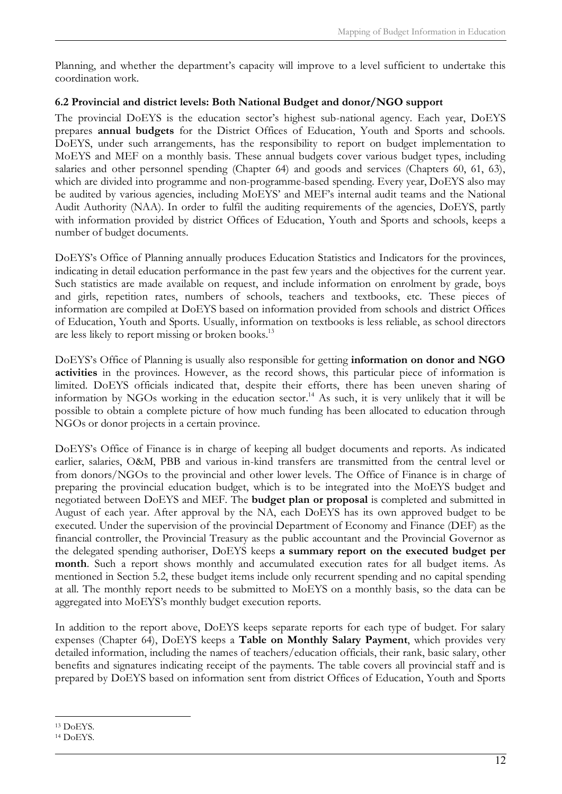Planning, and whether the department's capacity will improve to a level sufficient to undertake this coordination work.

### <span id="page-18-0"></span>**6.2 Provincial and district levels: Both National Budget and donor/NGO support**

The provincial DoEYS is the education sector's highest sub-national agency. Each year, DoEYS prepares **annual budgets** for the District Offices of Education, Youth and Sports and schools. DoEYS, under such arrangements, has the responsibility to report on budget implementation to MoEYS and MEF on a monthly basis. These annual budgets cover various budget types, including salaries and other personnel spending (Chapter 64) and goods and services (Chapters 60, 61, 63), which are divided into programme and non-programme-based spending. Every year, DoEYS also may be audited by various agencies, including MoEYS' and MEF's internal audit teams and the National Audit Authority (NAA). In order to fulfil the auditing requirements of the agencies, DoEYS, partly with information provided by district Offices of Education, Youth and Sports and schools, keeps a number of budget documents.

DoEYS's Office of Planning annually produces Education Statistics and Indicators for the provinces, indicating in detail education performance in the past few years and the objectives for the current year. Such statistics are made available on request, and include information on enrolment by grade, boys and girls, repetition rates, numbers of schools, teachers and textbooks, etc. These pieces of information are compiled at DoEYS based on information provided from schools and district Offices of Education, Youth and Sports. Usually, information on textbooks is less reliable, as school directors are less likely to report missing or broken books.<sup>[13](#page-18-1)</sup>

DoEYS's Office of Planning is usually also responsible for getting **information on donor and NGO activities** in the provinces. However, as the record shows, this particular piece of information is limited. DoEYS officials indicated that, despite their efforts, there has been uneven sharing of information by NGOs working in the education sector.<sup>[14](#page-18-2)</sup> As such, it is very unlikely that it will be possible to obtain a complete picture of how much funding has been allocated to education through NGOs or donor projects in a certain province.

DoEYS's Office of Finance is in charge of keeping all budget documents and reports. As indicated earlier, salaries, O&M, PBB and various in-kind transfers are transmitted from the central level or from donors/NGOs to the provincial and other lower levels. The Office of Finance is in charge of preparing the provincial education budget, which is to be integrated into the MoEYS budget and negotiated between DoEYS and MEF. The **budget plan or proposal** is completed and submitted in August of each year. After approval by the NA, each DoEYS has its own approved budget to be executed. Under the supervision of the provincial Department of Economy and Finance (DEF) as the financial controller, the Provincial Treasury as the public accountant and the Provincial Governor as the delegated spending authoriser, DoEYS keeps **a summary report on the executed budget per month**. Such a report shows monthly and accumulated execution rates for all budget items. As mentioned in Section 5.2, these budget items include only recurrent spending and no capital spending at all. The monthly report needs to be submitted to MoEYS on a monthly basis, so the data can be aggregated into MoEYS's monthly budget execution reports.

In addition to the report above, DoEYS keeps separate reports for each type of budget. For salary expenses (Chapter 64), DoEYS keeps a **Table on Monthly Salary Payment**, which provides very detailed information, including the names of teachers/education officials, their rank, basic salary, other benefits and signatures indicating receipt of the payments. The table covers all provincial staff and is prepared by DoEYS based on information sent from district Offices of Education, Youth and Sports

<span id="page-18-1"></span><sup>13</sup> DoEYS.

<span id="page-18-2"></span><sup>14</sup> DoEYS.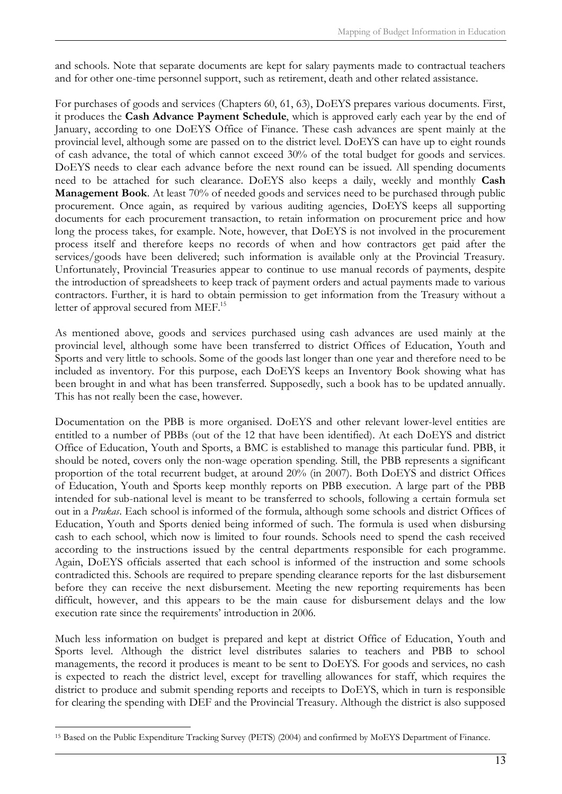and schools. Note that separate documents are kept for salary payments made to contractual teachers and for other one-time personnel support, such as retirement, death and other related assistance.

For purchases of goods and services (Chapters 60, 61, 63), DoEYS prepares various documents. First, it produces the **Cash Advance Payment Schedule**, which is approved early each year by the end of January, according to one DoEYS Office of Finance. These cash advances are spent mainly at the provincial level, although some are passed on to the district level. DoEYS can have up to eight rounds of cash advance, the total of which cannot exceed 30% of the total budget for goods and services. DoEYS needs to clear each advance before the next round can be issued. All spending documents need to be attached for such clearance. DoEYS also keeps a daily, weekly and monthly **Cash Management Book**. At least 70% of needed goods and services need to be purchased through public procurement. Once again, as required by various auditing agencies, DoEYS keeps all supporting documents for each procurement transaction, to retain information on procurement price and how long the process takes, for example. Note, however, that DoEYS is not involved in the procurement process itself and therefore keeps no records of when and how contractors get paid after the services/goods have been delivered; such information is available only at the Provincial Treasury. Unfortunately, Provincial Treasuries appear to continue to use manual records of payments, despite the introduction of spreadsheets to keep track of payment orders and actual payments made to various contractors. Further, it is hard to obtain permission to get information from the Treasury without a letter of approval secured from MEF.<sup>[15](#page-19-0)</sup>

As mentioned above, goods and services purchased using cash advances are used mainly at the provincial level, although some have been transferred to district Offices of Education, Youth and Sports and very little to schools. Some of the goods last longer than one year and therefore need to be included as inventory. For this purpose, each DoEYS keeps an Inventory Book showing what has been brought in and what has been transferred. Supposedly, such a book has to be updated annually. This has not really been the case, however.

Documentation on the PBB is more organised. DoEYS and other relevant lower-level entities are entitled to a number of PBBs (out of the 12 that have been identified). At each DoEYS and district Office of Education, Youth and Sports, a BMC is established to manage this particular fund. PBB, it should be noted, covers only the non-wage operation spending. Still, the PBB represents a significant proportion of the total recurrent budget, at around 20% (in 2007). Both DoEYS and district Offices of Education, Youth and Sports keep monthly reports on PBB execution. A large part of the PBB intended for sub-national level is meant to be transferred to schools, following a certain formula set out in a *Prakas*. Each school is informed of the formula, although some schools and district Offices of Education, Youth and Sports denied being informed of such. The formula is used when disbursing cash to each school, which now is limited to four rounds. Schools need to spend the cash received according to the instructions issued by the central departments responsible for each programme. Again, DoEYS officials asserted that each school is informed of the instruction and some schools contradicted this. Schools are required to prepare spending clearance reports for the last disbursement before they can receive the next disbursement. Meeting the new reporting requirements has been difficult, however, and this appears to be the main cause for disbursement delays and the low execution rate since the requirements' introduction in 2006.

Much less information on budget is prepared and kept at district Office of Education, Youth and Sports level. Although the district level distributes salaries to teachers and PBB to school managements, the record it produces is meant to be sent to DoEYS. For goods and services, no cash is expected to reach the district level, except for travelling allowances for staff, which requires the district to produce and submit spending reports and receipts to DoEYS, which in turn is responsible for clearing the spending with DEF and the Provincial Treasury. Although the district is also supposed

<span id="page-19-0"></span><sup>15</sup> Based on the Public Expenditure Tracking Survey (PETS) (2004) and confirmed by MoEYS Department of Finance.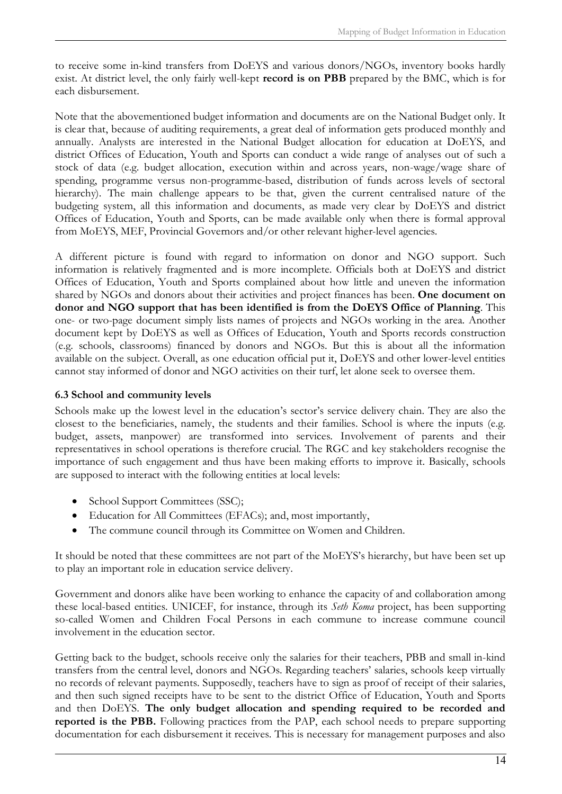to receive some in-kind transfers from DoEYS and various donors/NGOs, inventory books hardly exist. At district level, the only fairly well-kept **record is on PBB** prepared by the BMC, which is for each disbursement.

Note that the abovementioned budget information and documents are on the National Budget only. It is clear that, because of auditing requirements, a great deal of information gets produced monthly and annually. Analysts are interested in the National Budget allocation for education at DoEYS, and district Offices of Education, Youth and Sports can conduct a wide range of analyses out of such a stock of data (e.g. budget allocation, execution within and across years, non-wage/wage share of spending, programme versus non-programme-based, distribution of funds across levels of sectoral hierarchy). The main challenge appears to be that, given the current centralised nature of the budgeting system, all this information and documents, as made very clear by DoEYS and district Offices of Education, Youth and Sports, can be made available only when there is formal approval from MoEYS, MEF, Provincial Governors and/or other relevant higher-level agencies.

A different picture is found with regard to information on donor and NGO support. Such information is relatively fragmented and is more incomplete. Officials both at DoEYS and district Offices of Education, Youth and Sports complained about how little and uneven the information shared by NGOs and donors about their activities and project finances has been. **One document on donor and NGO support that has been identified is from the DoEYS Office of Planning**. This one- or two-page document simply lists names of projects and NGOs working in the area. Another document kept by DoEYS as well as Offices of Education, Youth and Sports records construction (e.g. schools, classrooms) financed by donors and NGOs. But this is about all the information available on the subject. Overall, as one education official put it, DoEYS and other lower-level entities cannot stay informed of donor and NGO activities on their turf, let alone seek to oversee them.

#### <span id="page-20-0"></span>**6.3 School and community levels**

Schools make up the lowest level in the education's sector's service delivery chain. They are also the closest to the beneficiaries, namely, the students and their families. School is where the inputs (e.g. budget, assets, manpower) are transformed into services. Involvement of parents and their representatives in school operations is therefore crucial. The RGC and key stakeholders recognise the importance of such engagement and thus have been making efforts to improve it. Basically, schools are supposed to interact with the following entities at local levels:

- School Support Committees (SSC);
- Education for All Committees (EFACs); and, most importantly,
- The commune council through its Committee on Women and Children.

It should be noted that these committees are not part of the MoEYS's hierarchy, but have been set up to play an important role in education service delivery.

Government and donors alike have been working to enhance the capacity of and collaboration among these local-based entities. UNICEF, for instance, through its *Seth Koma* project, has been supporting so-called Women and Children Focal Persons in each commune to increase commune council involvement in the education sector.

Getting back to the budget, schools receive only the salaries for their teachers, PBB and small in-kind transfers from the central level, donors and NGOs. Regarding teachers' salaries, schools keep virtually no records of relevant payments. Supposedly, teachers have to sign as proof of receipt of their salaries, and then such signed receipts have to be sent to the district Office of Education, Youth and Sports and then DoEYS. **The only budget allocation and spending required to be recorded and reported is the PBB.** Following practices from the PAP, each school needs to prepare supporting documentation for each disbursement it receives. This is necessary for management purposes and also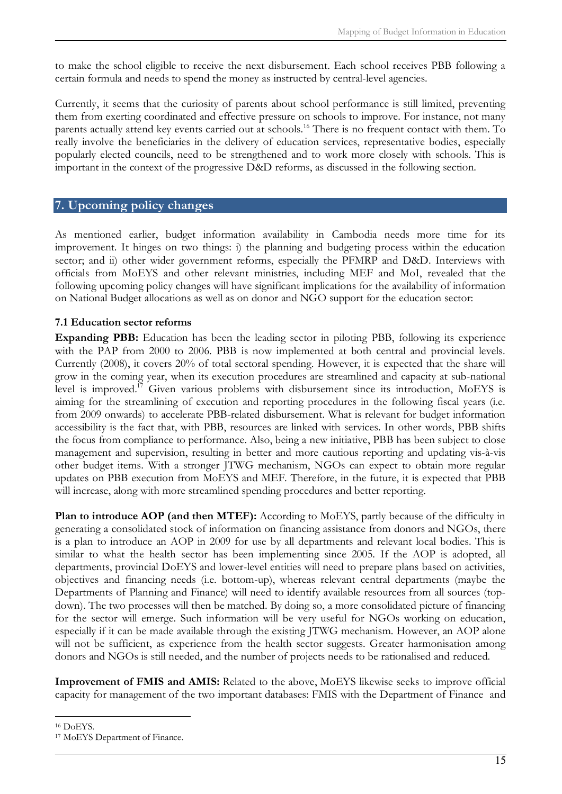to make the school eligible to receive the next disbursement. Each school receives PBB following a certain formula and needs to spend the money as instructed by central-level agencies.

Currently, it seems that the curiosity of parents about school performance is still limited, preventing them from exerting coordinated and effective pressure on schools to improve. For instance, not many parents actually attend key events carried out at schools.<sup>[16](#page-21-2)</sup> There is no frequent contact with them. To really involve the beneficiaries in the delivery of education services, representative bodies, especially popularly elected councils, need to be strengthened and to work more closely with schools. This is important in the context of the progressive D&D reforms, as discussed in the following section.

#### <span id="page-21-0"></span>**7. Upcoming policy changes**

As mentioned earlier, budget information availability in Cambodia needs more time for its improvement. It hinges on two things: i) the planning and budgeting process within the education sector; and ii) other wider government reforms, especially the PFMRP and D&D. Interviews with officials from MoEYS and other relevant ministries, including MEF and MoI, revealed that the following upcoming policy changes will have significant implications for the availability of information on National Budget allocations as well as on donor and NGO support for the education sector:

#### <span id="page-21-1"></span>**7.1 Education sector reforms**

**Expanding PBB:** Education has been the leading sector in piloting PBB, following its experience with the PAP from 2000 to 2006. PBB is now implemented at both central and provincial levels. Currently (2008), it covers 20% of total sectoral spending. However, it is expected that the share will grow in the coming year, when its execution procedures are streamlined and capacity at sub-national level is improved.<sup>[17](#page-21-3)</sup> Given various problems with disbursement since its introduction, MoEYS is aiming for the streamlining of execution and reporting procedures in the following fiscal years (i.e. from 2009 onwards) to accelerate PBB-related disbursement. What is relevant for budget information accessibility is the fact that, with PBB, resources are linked with services. In other words, PBB shifts the focus from compliance to performance. Also, being a new initiative, PBB has been subject to close management and supervision, resulting in better and more cautious reporting and updating vis-à-vis other budget items. With a stronger JTWG mechanism, NGOs can expect to obtain more regular updates on PBB execution from MoEYS and MEF. Therefore, in the future, it is expected that PBB will increase, along with more streamlined spending procedures and better reporting.

**Plan to introduce AOP (and then MTEF):** According to MoEYS, partly because of the difficulty in generating a consolidated stock of information on financing assistance from donors and NGOs, there is a plan to introduce an AOP in 2009 for use by all departments and relevant local bodies. This is similar to what the health sector has been implementing since 2005. If the AOP is adopted, all departments, provincial DoEYS and lower-level entities will need to prepare plans based on activities, objectives and financing needs (i.e. bottom-up), whereas relevant central departments (maybe the Departments of Planning and Finance) will need to identify available resources from all sources (topdown). The two processes will then be matched. By doing so, a more consolidated picture of financing for the sector will emerge. Such information will be very useful for NGOs working on education, especially if it can be made available through the existing JTWG mechanism. However, an AOP alone will not be sufficient, as experience from the health sector suggests. Greater harmonisation among donors and NGOs is still needed, and the number of projects needs to be rationalised and reduced.

**Improvement of FMIS and AMIS:** Related to the above, MoEYS likewise seeks to improve official capacity for management of the two important databases: FMIS with the Department of Finance and

<span id="page-21-2"></span><sup>16</sup> DoEYS.

<span id="page-21-3"></span><sup>17</sup> MoEYS Department of Finance.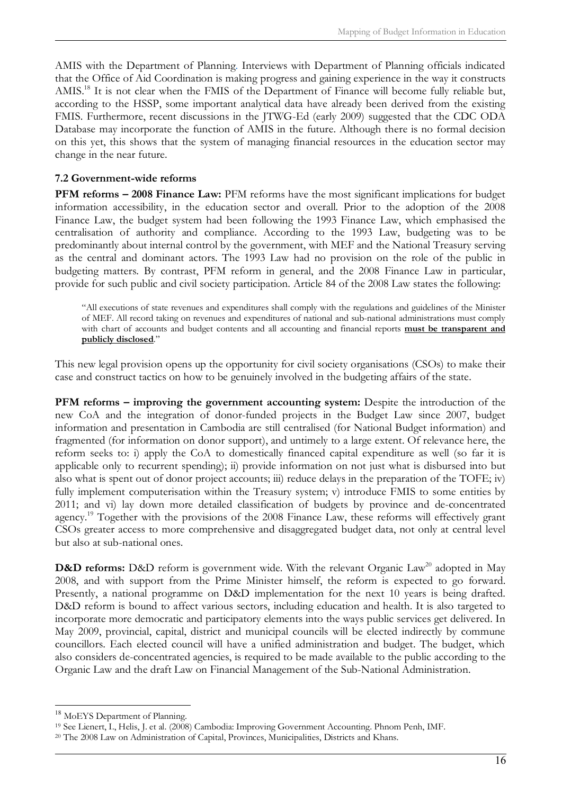AMIS with the Department of Planning. Interviews with Department of Planning officials indicated that the Office of Aid Coordination is making progress and gaining experience in the way it constructs AMIS.<sup>[18](#page-22-1)</sup> It is not clear when the FMIS of the Department of Finance will become fully reliable but, according to the HSSP, some important analytical data have already been derived from the existing FMIS. Furthermore, recent discussions in the JTWG-Ed (early 2009) suggested that the CDC ODA Database may incorporate the function of AMIS in the future. Although there is no formal decision on this yet, this shows that the system of managing financial resources in the education sector may change in the near future.

#### <span id="page-22-0"></span>**7.2 Government-wide reforms**

**PFM reforms – 2008 Finance Law:** PFM reforms have the most significant implications for budget information accessibility, in the education sector and overall. Prior to the adoption of the 2008 Finance Law, the budget system had been following the 1993 Finance Law, which emphasised the centralisation of authority and compliance. According to the 1993 Law, budgeting was to be predominantly about internal control by the government, with MEF and the National Treasury serving as the central and dominant actors. The 1993 Law had no provision on the role of the public in budgeting matters. By contrast, PFM reform in general, and the 2008 Finance Law in particular, provide for such public and civil society participation. Article 84 of the 2008 Law states the following:

"All executions of state revenues and expenditures shall comply with the regulations and guidelines of the Minister of MEF. All record taking on revenues and expenditures of national and sub-national administrations must comply with chart of accounts and budget contents and all accounting and financial reports **must be transparent and publicly disclosed**."

This new legal provision opens up the opportunity for civil society organisations (CSOs) to make their case and construct tactics on how to be genuinely involved in the budgeting affairs of the state.

**PFM reforms – improving the government accounting system:** Despite the introduction of the new CoA and the integration of donor-funded projects in the Budget Law since 2007, budget information and presentation in Cambodia are still centralised (for National Budget information) and fragmented (for information on donor support), and untimely to a large extent. Of relevance here, the reform seeks to: i) apply the CoA to domestically financed capital expenditure as well (so far it is applicable only to recurrent spending); ii) provide information on not just what is disbursed into but also what is spent out of donor project accounts; iii) reduce delays in the preparation of the TOFE; iv) fully implement computerisation within the Treasury system; v) introduce FMIS to some entities by 2011; and vi) lay down more detailed classification of budgets by province and de-concentrated agency.<sup>[19](#page-22-2)</sup> Together with the provisions of the 2008 Finance Law, these reforms will effectively grant CSOs greater access to more comprehensive and disaggregated budget data, not only at central level but also at sub-national ones.

**D&D reforms:** D&D reform is government wide. With the relevant Organic Law<sup>[20](#page-22-3)</sup> adopted in May 2008, and with support from the Prime Minister himself, the reform is expected to go forward. Presently, a national programme on D&D implementation for the next 10 years is being drafted. D&D reform is bound to affect various sectors, including education and health. It is also targeted to incorporate more democratic and participatory elements into the ways public services get delivered. In May 2009, provincial, capital, district and municipal councils will be elected indirectly by commune councillors. Each elected council will have a unified administration and budget. The budget, which also considers de-concentrated agencies, is required to be made available to the public according to the Organic Law and the draft Law on Financial Management of the Sub-National Administration.

<span id="page-22-1"></span><sup>&</sup>lt;sup>18</sup> MoEYS Department of Planning.

<span id="page-22-2"></span><sup>19</sup> See Lienert, I., Helis, J. et al. (2008) Cambodia: Improving Government Accounting. Phnom Penh, IMF.

<span id="page-22-3"></span><sup>20</sup> The 2008 Law on Administration of Capital, Provinces, Municipalities, Districts and Khans.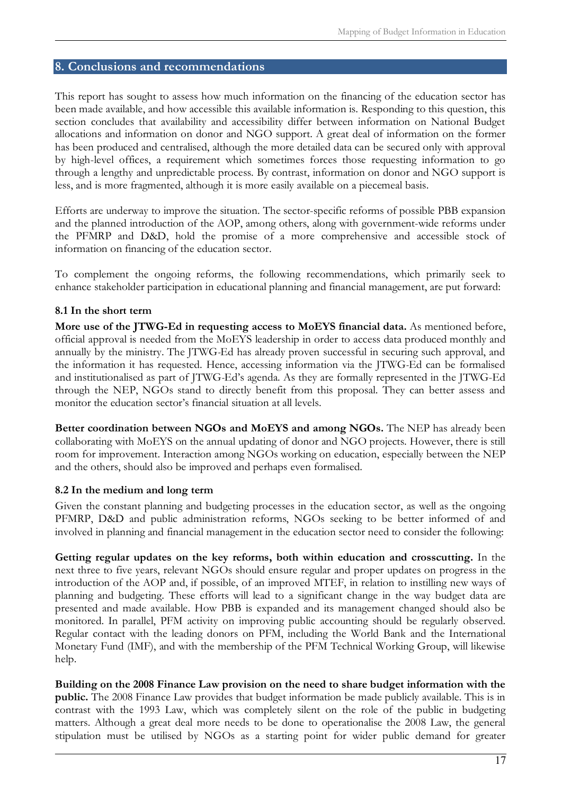#### <span id="page-23-0"></span>**8. Conclusions and recommendations**

This report has sought to assess how much information on the financing of the education sector has been made available, and how accessible this available information is. Responding to this question, this section concludes that availability and accessibility differ between information on National Budget allocations and information on donor and NGO support. A great deal of information on the former has been produced and centralised, although the more detailed data can be secured only with approval by high-level offices, a requirement which sometimes forces those requesting information to go through a lengthy and unpredictable process. By contrast, information on donor and NGO support is less, and is more fragmented, although it is more easily available on a piecemeal basis.

Efforts are underway to improve the situation. The sector-specific reforms of possible PBB expansion and the planned introduction of the AOP, among others, along with government-wide reforms under the PFMRP and D&D, hold the promise of a more comprehensive and accessible stock of information on financing of the education sector.

To complement the ongoing reforms, the following recommendations, which primarily seek to enhance stakeholder participation in educational planning and financial management, are put forward:

#### <span id="page-23-1"></span>**8.1 In the short term**

**More use of the JTWG-Ed in requesting access to MoEYS financial data.** As mentioned before, official approval is needed from the MoEYS leadership in order to access data produced monthly and annually by the ministry. The JTWG*-*Ed has already proven successful in securing such approval, and the information it has requested. Hence, accessing information via the JTWG*-*Ed can be formalised and institutionalised as part of JTWG*-*Ed's agenda. As they are formally represented in the JTWG-Ed through the NEP, NGOs stand to directly benefit from this proposal. They can better assess and monitor the education sector's financial situation at all levels.

**Better coordination between NGOs and MoEYS and among NGOs.** The NEP has already been collaborating with MoEYS on the annual updating of donor and NGO projects. However, there is still room for improvement. Interaction among NGOs working on education, especially between the NEP and the others, should also be improved and perhaps even formalised.

#### <span id="page-23-2"></span>**8.2 In the medium and long term**

Given the constant planning and budgeting processes in the education sector, as well as the ongoing PFMRP, D&D and public administration reforms, NGOs seeking to be better informed of and involved in planning and financial management in the education sector need to consider the following:

**Getting regular updates on the key reforms, both within education and crosscutting.** In the next three to five years, relevant NGOs should ensure regular and proper updates on progress in the introduction of the AOP and, if possible, of an improved MTEF, in relation to instilling new ways of planning and budgeting. These efforts will lead to a significant change in the way budget data are presented and made available. How PBB is expanded and its management changed should also be monitored. In parallel, PFM activity on improving public accounting should be regularly observed. Regular contact with the leading donors on PFM, including the World Bank and the International Monetary Fund (IMF), and with the membership of the PFM Technical Working Group, will likewise help.

**Building on the 2008 Finance Law provision on the need to share budget information with the public.** The 2008 Finance Law provides that budget information be made publicly available. This is in contrast with the 1993 Law, which was completely silent on the role of the public in budgeting matters. Although a great deal more needs to be done to operationalise the 2008 Law, the general stipulation must be utilised by NGOs as a starting point for wider public demand for greater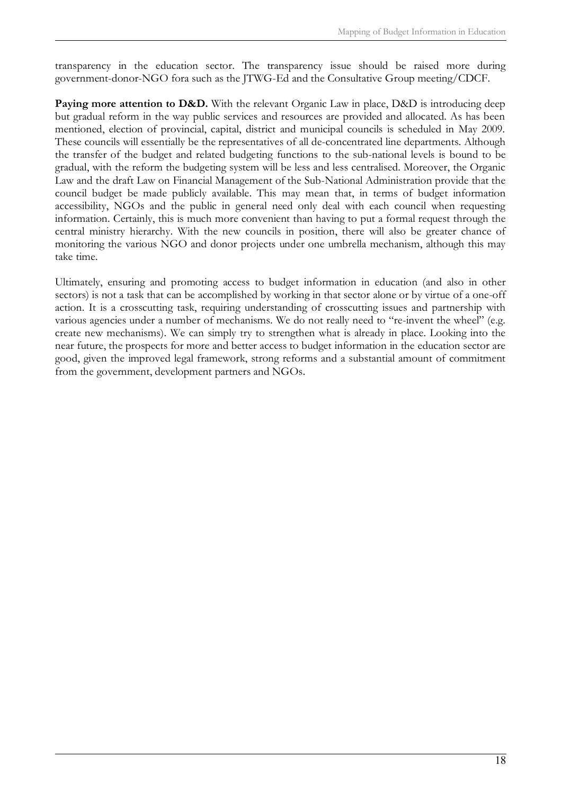transparency in the education sector. The transparency issue should be raised more during government-donor-NGO fora such as the JTWG-Ed and the Consultative Group meeting/CDCF.

**Paying more attention to D&D.** With the relevant Organic Law in place, D&D is introducing deep but gradual reform in the way public services and resources are provided and allocated. As has been mentioned, election of provincial, capital, district and municipal councils is scheduled in May 2009. These councils will essentially be the representatives of all de-concentrated line departments. Although the transfer of the budget and related budgeting functions to the sub-national levels is bound to be gradual, with the reform the budgeting system will be less and less centralised. Moreover, the Organic Law and the draft Law on Financial Management of the Sub-National Administration provide that the council budget be made publicly available. This may mean that, in terms of budget information accessibility, NGOs and the public in general need only deal with each council when requesting information. Certainly, this is much more convenient than having to put a formal request through the central ministry hierarchy. With the new councils in position, there will also be greater chance of monitoring the various NGO and donor projects under one umbrella mechanism, although this may take time.

Ultimately, ensuring and promoting access to budget information in education (and also in other sectors) is not a task that can be accomplished by working in that sector alone or by virtue of a one-off action. It is a crosscutting task, requiring understanding of crosscutting issues and partnership with various agencies under a number of mechanisms. We do not really need to "re-invent the wheel" (e.g. create new mechanisms). We can simply try to strengthen what is already in place. Looking into the near future, the prospects for more and better access to budget information in the education sector are good, given the improved legal framework, strong reforms and a substantial amount of commitment from the government, development partners and NGOs.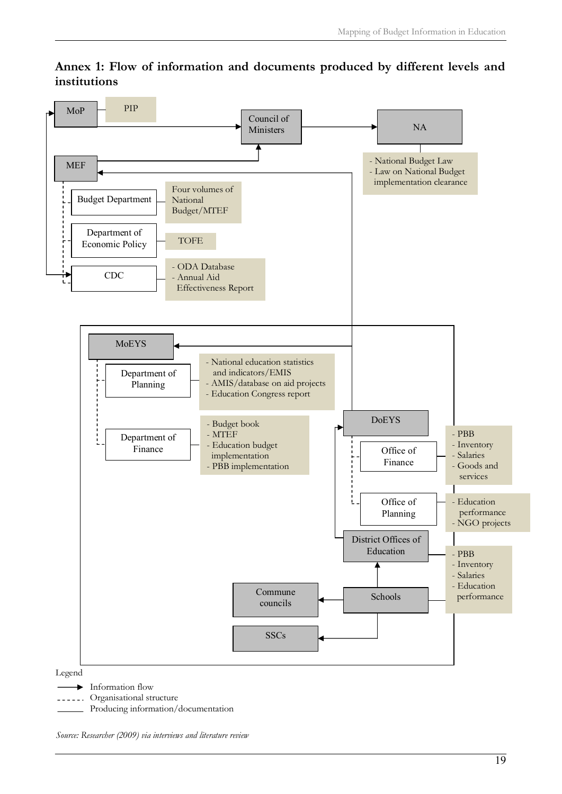

## <span id="page-25-0"></span>**Annex 1: Flow of information and documents produced by different levels and institutions**

*Source: Researcher (2009) via interviews and literature review*

Producing information/documentation

**LEGEC**. Organisational structure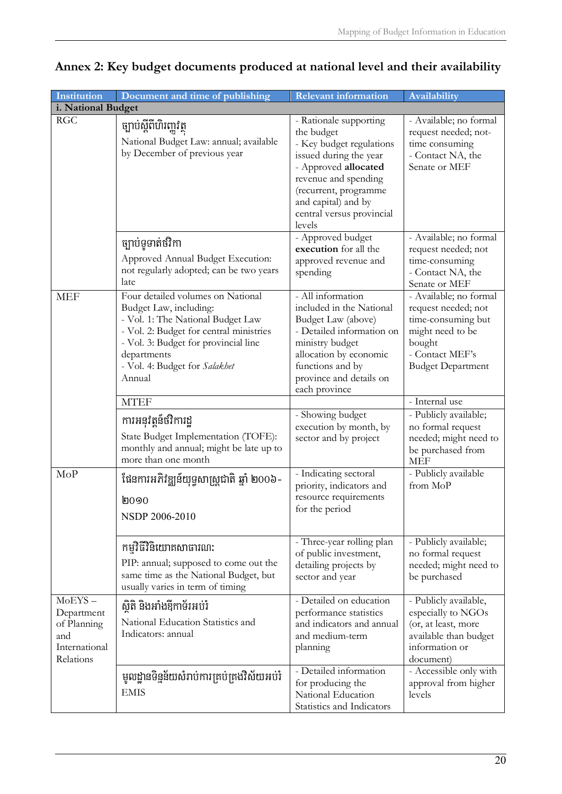| Institution                                                                 | Document and time of publishing                                                                                                                                                                                                               | <b>Relevant information</b>                                                                                                                                                                                                       | Availability                                                                                                                                     |  |
|-----------------------------------------------------------------------------|-----------------------------------------------------------------------------------------------------------------------------------------------------------------------------------------------------------------------------------------------|-----------------------------------------------------------------------------------------------------------------------------------------------------------------------------------------------------------------------------------|--------------------------------------------------------------------------------------------------------------------------------------------------|--|
| i. National Budget                                                          |                                                                                                                                                                                                                                               |                                                                                                                                                                                                                                   |                                                                                                                                                  |  |
| <b>RGC</b>                                                                  | ច្បាប់ស្តីពីហិរញ្ញវត្ថុ<br>National Budget Law: annual; available<br>by December of previous year                                                                                                                                             | - Rationale supporting<br>the budget<br>- Key budget regulations<br>issued during the year<br>- Approved allocated<br>revenue and spending<br>(recurrent, programme<br>and capital) and by<br>central versus provincial<br>levels | - Available; no formal<br>request needed; not-<br>time consuming<br>- Contact NA, the<br>Senate or MEF                                           |  |
|                                                                             | ច្បាប់ទូទាត់ថវិកា<br>Approved Annual Budget Execution:<br>not regularly adopted; can be two years<br>late                                                                                                                                     | - Approved budget<br>execution for all the<br>approved revenue and<br>spending                                                                                                                                                    | - Available; no formal<br>request needed; not<br>time-consuming<br>- Contact NA, the<br>Senate or MEF                                            |  |
| <b>MEF</b>                                                                  | Four detailed volumes on National<br>Budget Law, including:<br>- Vol. 1: The National Budget Law<br>- Vol. 2: Budget for central ministries<br>- Vol. 3: Budget for provincial line<br>departments<br>- Vol. 4: Budget for Salakhet<br>Annual | - All information<br>included in the National<br>Budget Law (above)<br>- Detailed information on<br>ministry budget<br>allocation by economic<br>functions and by<br>province and details on<br>each province                     | - Available; no formal<br>request needed; not<br>time-consuming but<br>might need to be<br>bought<br>- Contact MEF's<br><b>Budget Department</b> |  |
|                                                                             | <b>MTEF</b>                                                                                                                                                                                                                                   |                                                                                                                                                                                                                                   | - Internal use                                                                                                                                   |  |
|                                                                             | ការអនុវត្តន៍ថវិការដ្ឋ<br>State Budget Implementation (TOFE):<br>monthly and annual; might be late up to<br>more than one month                                                                                                                | - Showing budget<br>execution by month, by<br>sector and by project                                                                                                                                                               | - Publicly available;<br>no formal request<br>needed; might need to<br>be purchased from<br><b>MEF</b>                                           |  |
| MoP                                                                         | ផែនការអភិវឌ្ឍន៍យុទ្ធសាស្ត្រជាតិ ឆ្នាំ ២០០៦-<br><b>0000</b><br>NSDP 2006-2010                                                                                                                                                                  | - Indicating sectoral<br>priority, indicators and<br>resource requirements<br>for the period<br>- Three-year rolling plan                                                                                                         | - Publicly available<br>from MoP<br>- Publicly available;                                                                                        |  |
|                                                                             | កម្មវិធីវិនិយោគសាធារណៈ<br>PIP: annual; supposed to come out the<br>same time as the National Budget, but<br>usually varies in term of timing                                                                                                  | of public investment,<br>detailing projects by<br>sector and year                                                                                                                                                                 | no formal request<br>needed; might need to<br>be purchased                                                                                       |  |
| $MoEYS -$<br>Department<br>of Planning<br>and<br>International<br>Relations | សិតិ និងអាំងឱ្យកាទ័រអប់រំ<br>National Education Statistics and<br>Indicators: annual                                                                                                                                                          | - Detailed on education<br>performance statistics<br>and indicators and annual<br>and medium-term<br>planning                                                                                                                     | - Publicly available,<br>especially to NGOs<br>(or, at least, more<br>available than budget<br>information or<br>document)                       |  |
|                                                                             | មូលដ្ឋានទិន្នន័យសំរាប់ការគ្រប់គ្រងវិស័យអប់រំ<br><b>EMIS</b>                                                                                                                                                                                   | - Detailed information<br>for producing the<br>National Education<br>Statistics and Indicators                                                                                                                                    | - Accessible only with<br>approval from higher<br>levels                                                                                         |  |

# <span id="page-26-0"></span>**Annex 2: Key budget documents produced at national level and their availability**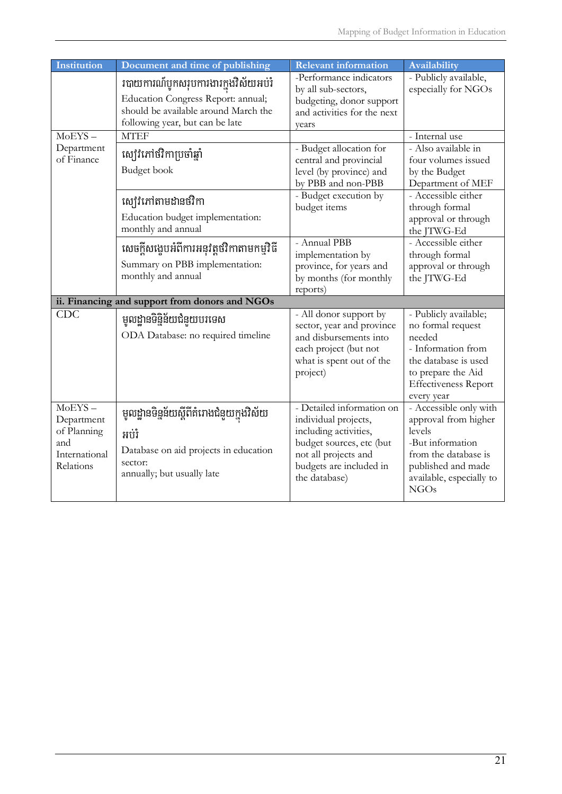| <b>Institution</b>                                                          | Document and time of publishing                                                                                                                        | <b>Relevant information</b>                                                                                                                                                | Availability                                                                                                                                                          |
|-----------------------------------------------------------------------------|--------------------------------------------------------------------------------------------------------------------------------------------------------|----------------------------------------------------------------------------------------------------------------------------------------------------------------------------|-----------------------------------------------------------------------------------------------------------------------------------------------------------------------|
|                                                                             | របាយការណ៍បូកសរុបការងារក្នុងវិស័យអប់រំ<br>Education Congress Report: annual;<br>should be available around March the<br>following year, but can be late | -Performance indicators<br>by all sub-sectors,<br>budgeting, donor support<br>and activities for the next<br>vears                                                         | - Publicly available,<br>especially for NGOs                                                                                                                          |
| $MoEYS -$                                                                   | <b>MTEF</b>                                                                                                                                            |                                                                                                                                                                            | - Internal use                                                                                                                                                        |
| Department<br>of Finance                                                    | ស្បៅវិភៅថវិកាប្រចាំឆ្នាំ<br>Budget book                                                                                                                | - Budget allocation for<br>central and provincial<br>level (by province) and<br>by PBB and non-PBB                                                                         | - Also available in<br>four volumes issued<br>by the Budget<br>Department of MEF                                                                                      |
|                                                                             | ស្យ៉េរំភៅតាមដានថវិកា<br>Education budget implementation:<br>monthly and annual                                                                         | - Budget execution by<br>budget items                                                                                                                                      | - Accessible either<br>through formal<br>approval or through<br>the JTWG-Ed                                                                                           |
|                                                                             | សេចក្តីសង្ខេបអំពីការអនុវត្តថវិកាតាមកម្មវិធី<br>Summary on PBB implementation:<br>monthly and annual                                                    | - Annual PBB<br>implementation by<br>province, for years and<br>by months (for monthly<br>reports)                                                                         | - Accessible either<br>through formal<br>approval or through<br>the JTWG-Ed                                                                                           |
|                                                                             | ii. Financing and support from donors and NGOs                                                                                                         |                                                                                                                                                                            |                                                                                                                                                                       |
| <b>CDC</b>                                                                  | មូលដ្ឋានទិន្និន័យជំនួយបរទេស<br>ODA Database: no required timeline                                                                                      | - All donor support by<br>sector, year and province<br>and disbursements into<br>each project (but not<br>what is spent out of the<br>project)                             | - Publicly available;<br>no formal request<br>needed<br>- Information from<br>the database is used<br>to prepare the Aid<br><b>Effectiveness Report</b><br>every year |
| $MoEYS -$<br>Department<br>of Planning<br>and<br>International<br>Relations | មូលដ្ឋានទិន្នន័យស្តីពីគំរោងជំនួយក្នុងវិស័យ<br>អប់រំ<br>Database on aid projects in education<br>sector:<br>annually; but usually late                  | - Detailed information on<br>individual projects,<br>including activities,<br>budget sources, etc (but<br>not all projects and<br>budgets are included in<br>the database) | - Accessible only with<br>approval from higher<br>levels<br>-But information<br>from the database is<br>published and made<br>available, especially to<br><b>NGOs</b> |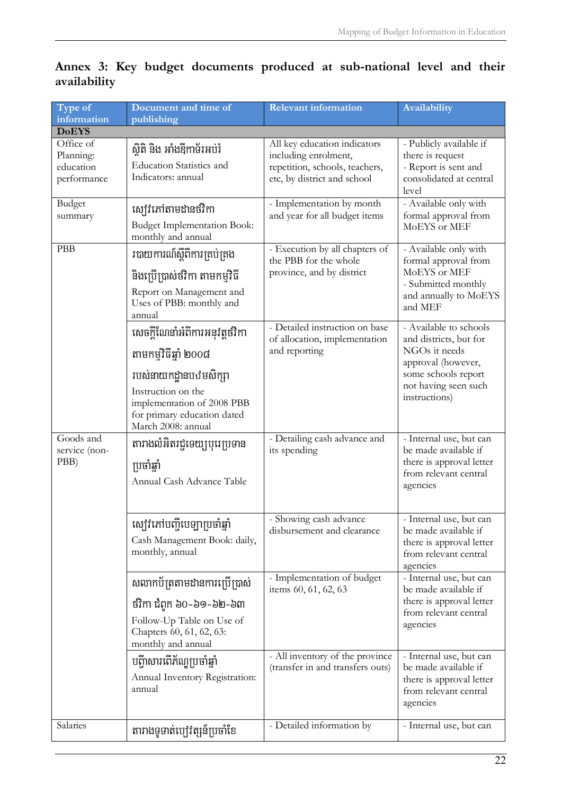| Type of<br>information                             | Document and time of<br>publishing                                                                                                                                                          | <b>Relevant information</b>                                                                                           | Availability                                                                                                                                            |
|----------------------------------------------------|---------------------------------------------------------------------------------------------------------------------------------------------------------------------------------------------|-----------------------------------------------------------------------------------------------------------------------|---------------------------------------------------------------------------------------------------------------------------------------------------------|
| <b>DoEYS</b>                                       |                                                                                                                                                                                             |                                                                                                                       |                                                                                                                                                         |
| Office of<br>Planning:<br>education<br>performance | ស្ថិតិ និង អាំងឱ្យកាទ័រអប់រំ<br>Education Statistics and<br>Indicators: annual                                                                                                              | All key education indicators<br>including enrolment,<br>repetition, schools, teachers,<br>etc, by district and school | - Publicly available if<br>there is request<br>- Report is sent and<br>consolidated at central<br>level                                                 |
| <b>Budget</b><br>summary                           | ស្បេរិភៅតាមដានថវិកា<br><b>Budget Implementation Book:</b><br>monthly and annual                                                                                                             | - Implementation by month<br>and year for all budget items                                                            | - Available only with<br>formal approval from<br>MoEYS or MEF                                                                                           |
| <b>PBB</b>                                         | របាយការណ៍ស្តីពីការគ្រប់គ្រង<br>និងប្រើប្រាស់ថវិកា តាមកម្មវិធី<br>Report on Management and<br>Uses of PBB: monthly and<br>annual                                                             | - Execution by all chapters of<br>the PBB for the whole<br>province, and by district                                  | - Available only with<br>formal approval from<br>MoEYS or MEF<br>- Submitted monthly<br>and annually to MoEYS<br>and MEF                                |
|                                                    | សេចក្តីណែនាំអំពីការអនុវត្តថវិកា<br>តាមកម្មវិធីឆ្នាំ ២០០៨<br>របស់នាយកដ្ឋានបឋមសិក្សា<br>Instruction on the<br>implementation of 2008 PBB<br>for primary education dated<br>March 2008: annual | - Detailed instruction on base<br>of allocation, implementation<br>and reporting                                      | - Available to schools<br>and districts, but for<br>NGOs it needs<br>approval (however,<br>some schools report<br>not having seen such<br>instructions) |
| Goods and<br>service (non-<br>PBB)                 | តារាងលំអិតរជ្ជទេយ្យបុរេប្រទាន<br>ប្រចាំឆ្នាំ<br>Annual Cash Advance Table                                                                                                                   | - Detailing cash advance and<br>its spending                                                                          | - Internal use, but can<br>be made available if<br>there is approval letter<br>from relevant central<br>agencies                                        |
|                                                    | ស្យេរិភៅបញ្ជីបេឡាប្រចាំឆ្នាំ<br>Cash Management Book: daily,<br>monthly, annual                                                                                                             | - Showing cash advance<br>disbursement and clearance                                                                  | - Internal use, but can<br>be made available if<br>there is approval letter<br>from relevant central<br>agencies                                        |
|                                                    | សលាកប័ត្រតាមដានការប្រើប្រាស់<br>ថវិកា ជំពូក ៦០-៦១-៦២-៦៣<br>Follow-Up Table on Use of<br>Chapters 60, 61, 62, 63:<br>monthly and annual                                                      | - Implementation of budget<br>items 60, 61, 62, 63                                                                    | - Internal use, but can<br>be made available if<br>there is approval letter<br>from relevant central<br>agencies                                        |
|                                                    | បព្ចីាសារពើភ័ណ្ឌប្រចាំឆ្នាំ<br>Annual Inventory Registration:<br>annual                                                                                                                     | - All inventory of the province<br>(transfer in and transfers outs)                                                   | - Internal use, but can<br>be made available if<br>there is approval letter<br>from relevant central<br>agencies                                        |
| Salaries                                           | តារាងទូទាត់បៅវិត្សន៍ប្រចាំខែ                                                                                                                                                                | - Detailed information by                                                                                             | - Internal use, but can                                                                                                                                 |

# <span id="page-28-0"></span>**Annex 3: Key budget documents produced at sub-national level and their availability**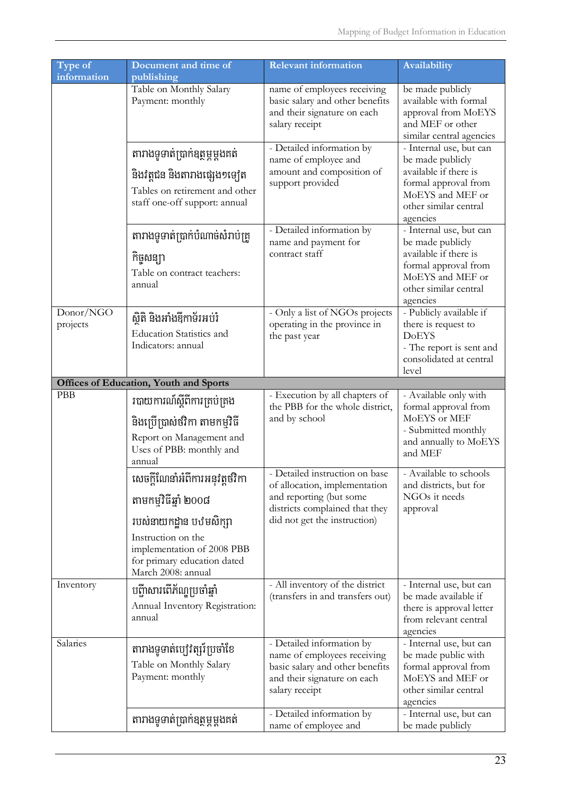| Type of               | Document and time of                                                                                                                                                                         | <b>Relevant information</b>                                                                                                                                  | Availability                                                                                                                                          |
|-----------------------|----------------------------------------------------------------------------------------------------------------------------------------------------------------------------------------------|--------------------------------------------------------------------------------------------------------------------------------------------------------------|-------------------------------------------------------------------------------------------------------------------------------------------------------|
| information           | publishing<br>Table on Monthly Salary<br>Payment: monthly                                                                                                                                    | name of employees receiving<br>basic salary and other benefits<br>and their signature on each<br>salary receipt                                              | be made publicly<br>available with formal<br>approval from MoEYS<br>and MEF or other<br>similar central agencies                                      |
|                       | តារាងទូទាត់ប្រាក់ឧត្ថម្ភម្តងគត់<br>និងវត្តជន និងតារាងផ្សេង១ទ្យេត<br>Tables on retirement and other<br>staff one-off support: annual                                                          | - Detailed information by<br>name of employee and<br>amount and composition of<br>support provided                                                           | - Internal use, but can<br>be made publicly<br>available if there is<br>formal approval from<br>MoEYS and MEF or<br>other similar central<br>agencies |
|                       | តារាងទូទាត់ប្រាក់បំណាច់សំរាប់ត្រូ<br>កិច្ចសន្យា<br>Table on contract teachers:<br>annual                                                                                                     | - Detailed information by<br>name and payment for<br>contract staff                                                                                          | - Internal use, but can<br>be made publicly<br>available if there is<br>formal approval from<br>MoEYS and MEF or<br>other similar central<br>agencies |
| Donor/NGO<br>projects | ស្ថិតិ និងអាំងឱ្យកាទ័រអប់រំ<br><b>Education Statistics and</b><br>Indicators: annual                                                                                                         | - Only a list of NGOs projects<br>operating in the province in<br>the past year                                                                              | - Publicly available if<br>there is request to<br><b>DoEYS</b><br>- The report is sent and<br>consolidated at central<br>level                        |
|                       | <b>Offices of Education, Youth and Sports</b>                                                                                                                                                |                                                                                                                                                              |                                                                                                                                                       |
| <b>PBB</b>            | របាយការណ៍ស្តីពីការគ្រប់គ្រង<br>និងប្រើប្រាស់ថវិកា តាមកម្មវិធី<br>Report on Management and<br>Uses of PBB: monthly and<br>annual                                                              | - Execution by all chapters of<br>the PBB for the whole district,<br>and by school                                                                           | - Available only with<br>formal approval from<br>MoEYS or MEF<br>- Submitted monthly<br>and annually to MoEYS<br>and MEF                              |
|                       | សេចក្តីណែនាំអំពីការអនុវត្តថវិកា<br>តាមកម្មវិធីឆ្នាំ ២០០៨<br>របស់នាយកដ្ឋាន បឋមសិក្សា<br>Instruction on the<br>implementation of 2008 PBB<br>for primary education dated<br>March 2008: annual | - Detailed instruction on base<br>of allocation, implementation<br>and reporting (but some<br>districts complained that they<br>did not get the instruction) | - Available to schools<br>and districts, but for<br>NGOs it needs<br>approval                                                                         |
| Inventory             | បញ្ចីសោរពើភ័ណ្ឌប្រចាំឆ្នាំ<br>Annual Inventory Registration:<br>annual                                                                                                                       | - All inventory of the district<br>(transfers in and transfers out)                                                                                          | - Internal use, but can<br>be made available if<br>there is approval letter<br>from relevant central<br>agencies                                      |
| Salaries              | តារាងទូទាត់បៅវិត្សរ៍ប្រចាំខែ<br>Table on Monthly Salary<br>Payment: monthly                                                                                                                  | - Detailed information by<br>name of employees receiving<br>basic salary and other benefits<br>and their signature on each<br>salary receipt                 | - Internal use, but can<br>be made public with<br>formal approval from<br>MoEYS and MEF or<br>other similar central<br>agencies                       |
|                       | តារាងទូទាត់ប្រាក់ឧត្ថម្ភម្តងគត់                                                                                                                                                              | - Detailed information by<br>name of employee and                                                                                                            | - Internal use, but can<br>be made publicly                                                                                                           |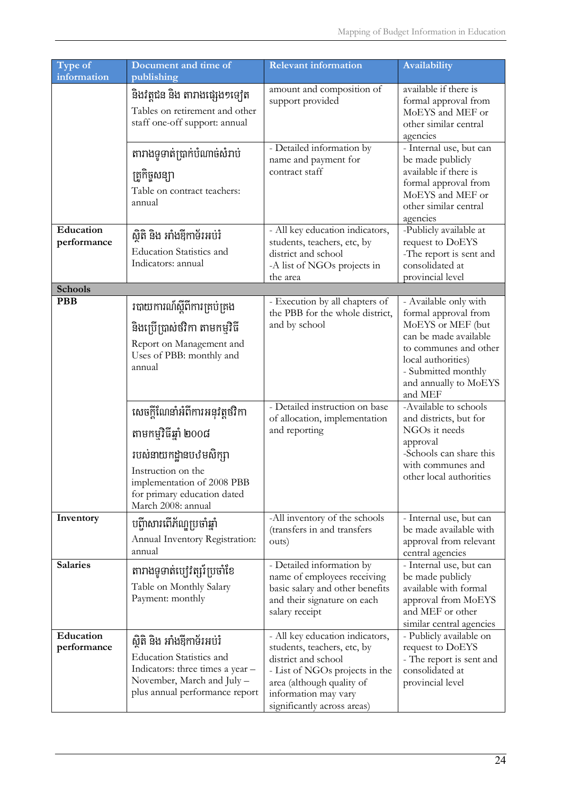| Type of                  | Document and time of                                                                                                                                                                        | <b>Relevant information</b>                                                                                                                                                                                 | <b>Availability</b>                                                                                                                                                                                   |
|--------------------------|---------------------------------------------------------------------------------------------------------------------------------------------------------------------------------------------|-------------------------------------------------------------------------------------------------------------------------------------------------------------------------------------------------------------|-------------------------------------------------------------------------------------------------------------------------------------------------------------------------------------------------------|
| information              | publishing                                                                                                                                                                                  |                                                                                                                                                                                                             |                                                                                                                                                                                                       |
|                          | និងវត្តជន និង តារាងផ្សេង១ទ្យេត<br>Tables on retirement and other<br>staff one-off support: annual                                                                                           | amount and composition of<br>support provided                                                                                                                                                               | available if there is<br>formal approval from<br>MoEYS and MEF or<br>other similar central<br>agencies                                                                                                |
|                          | តារាងទូទាត់ប្រាក់បំណាច់សំរាប់<br>ត្រួកិច្ចសន្យា<br>Table on contract teachers:<br>annual                                                                                                    | - Detailed information by<br>name and payment for<br>contract staff                                                                                                                                         | - Internal use, but can<br>be made publicly<br>available if there is<br>formal approval from<br>MoEYS and MEF or<br>other similar central<br>agencies                                                 |
| Education<br>performance | ស្ថិតិ និង អាំងឱ្យកាទ័រអប់រំ<br><b>Education Statistics and</b><br>Indicators: annual                                                                                                       | - All key education indicators,<br>students, teachers, etc, by<br>district and school<br>-A list of NGOs projects in<br>the area                                                                            | -Publicly available at<br>request to DoEYS<br>-The report is sent and<br>consolidated at<br>provincial level                                                                                          |
| <b>Schools</b>           |                                                                                                                                                                                             |                                                                                                                                                                                                             |                                                                                                                                                                                                       |
| <b>PBB</b>               | របាយការណ៍ស្តីពីការគ្រប់គ្រង<br>និងប្រើប្រាស់ថវិកា តាមកម្មវិធី<br>Report on Management and<br>Uses of PBB: monthly and<br>annual                                                             | - Execution by all chapters of<br>the PBB for the whole district,<br>and by school                                                                                                                          | - Available only with<br>formal approval from<br>MoEYS or MEF (but<br>can be made available<br>to communes and other<br>local authorities)<br>- Submitted monthly<br>and annually to MoEYS<br>and MEF |
|                          | សេចក្តីណែនាំអំពីការអនុវត្តថវិកា<br>តាមកម្មវិធីឆ្នាំ ២០០៨<br>របស់នាយកដ្ឋានបឋមសិក្សា<br>Instruction on the<br>implementation of 2008 PBB<br>for primary education dated<br>March 2008: annual | - Detailed instruction on base<br>of allocation, implementation<br>and reporting                                                                                                                            | -Available to schools<br>and districts, but for<br>NGOs it needs<br>approval<br>-Schools can share this<br>with communes and<br>other local authorities                                               |
| Inventory                | បញ្ចីសោរពើភ័ណ្ឌប្រចាំឆ្នាំ<br>Annual Inventory Registration:<br>annual                                                                                                                      | -All inventory of the schools<br>(transfers in and transfers<br>outs)                                                                                                                                       | - Internal use, but can<br>be made available with<br>approval from relevant<br>central agencies                                                                                                       |
| <b>Salaries</b>          | តារាងទូទាត់បៅវិត្សរ៍ប្រចាំខែ<br>Table on Monthly Salary<br>Payment: monthly                                                                                                                 | - Detailed information by<br>name of employees receiving<br>basic salary and other benefits<br>and their signature on each<br>salary receipt                                                                | - Internal use, but can<br>be made publicly<br>available with formal<br>approval from MoEYS<br>and MEF or other<br>similar central agencies                                                           |
| Education<br>performance | ស្ថិតិ និង អាំងឱ្យកាទ័រអប់រំ<br><b>Education Statistics and</b><br>Indicators: three times a year -<br>November, March and July -<br>plus annual performance report                         | - All key education indicators,<br>students, teachers, etc, by<br>district and school<br>- List of NGOs projects in the<br>area (although quality of<br>information may vary<br>significantly across areas) | - Publicly available on<br>request to DoEYS<br>- The report is sent and<br>consolidated at<br>provincial level                                                                                        |